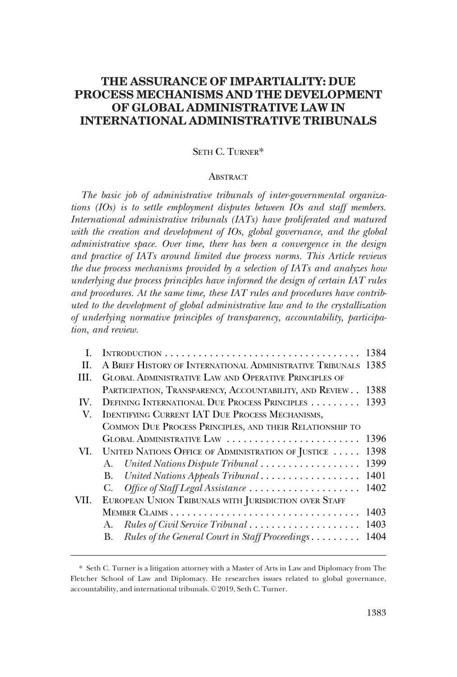# **THE ASSURANCE OF IMPARTIALITY: DUE PROCESS MECHANISMS AND THE DEVELOPMENT OF GLOBAL ADMINISTRATIVE LAW IN INTERNATIONAL ADMINISTRATIVE TRIBUNALS**

## SETH C. TURNER\*

#### **ABSTRACT**

*The basic job of administrative tribunals of inter-governmental organizations (IOs) is to settle employment disputes between IOs and staff members. International administrative tribunals (IATs) have proliferated and matured*  with the creation and development of IOs, global governance, and the global *administrative space. Over time, there has been a convergence in the design and practice of IATs around limited due process norms. This Article reviews the due process mechanisms provided by a selection of IATs and analyzes how underlying due process principles have informed the design of certain IAT rules and procedures. At the same time, these IAT rules and procedures have contributed to the development of global administrative law and to the crystallization of underlying normative principles of transparency, accountability, participation, and review.* 

|      | INTRODUCTION                                                   | 1384 |  |  |  |  |  |
|------|----------------------------------------------------------------|------|--|--|--|--|--|
| H.   | A BRIEF HISTORY OF INTERNATIONAL ADMINISTRATIVE TRIBUNALS 1385 |      |  |  |  |  |  |
| HL.  | <b>GLOBAL ADMINISTRATIVE LAW AND OPERATIVE PRINCIPLES OF</b>   |      |  |  |  |  |  |
|      | PARTICIPATION, TRANSPARENCY, ACCOUNTABILITY, AND REVIEW        | 1388 |  |  |  |  |  |
| IV.  | DEFINING INTERNATIONAL DUE PROCESS PRINCIPLES                  |      |  |  |  |  |  |
| V.   | <b>IDENTIFYING CURRENT IAT DUE PROCESS MECHANISMS,</b>         |      |  |  |  |  |  |
|      | COMMON DUE PROCESS PRINCIPLES, AND THEIR RELATIONSHIP TO       |      |  |  |  |  |  |
|      | GLOBAL ADMINISTRATIVE LAW                                      |      |  |  |  |  |  |
| VI.  | UNITED NATIONS OFFICE OF ADMINISTRATION OF JUSTICE             | 1398 |  |  |  |  |  |
|      | A. United Nations Dispute Tribunal                             | 1399 |  |  |  |  |  |
|      | United Nations Appeals Tribunal<br><b>B.</b>                   | 1401 |  |  |  |  |  |
|      | Office of Staff Legal Assistance<br>$C_{\cdot}$                | 1402 |  |  |  |  |  |
| VII. | EUROPEAN UNION TRIBUNALS WITH JURISDICTION OVER STAFF          |      |  |  |  |  |  |
|      |                                                                |      |  |  |  |  |  |
|      | Rules of Civil Service Tribunal<br>А.                          | 1403 |  |  |  |  |  |
|      | Rules of the General Court in Staff Proceedings<br>В.          | 1404 |  |  |  |  |  |
|      |                                                                |      |  |  |  |  |  |

<sup>\*</sup> Seth C. Turner is a litigation attorney with a Master of Arts in Law and Diplomacy from The Fletcher School of Law and Diplomacy. He researches issues related to global governance, accountability, and international tribunals. © 2019, Seth C. Turner.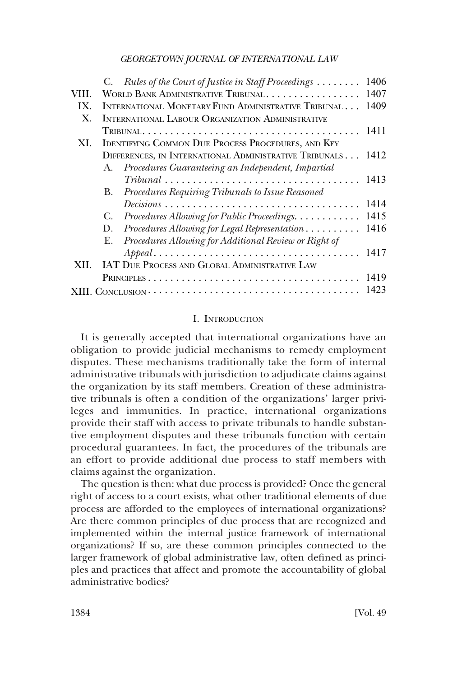<span id="page-1-0"></span>

|                |                                                             | C. Rules of the Court of Justice in Staff Proceedings                                    | 1406 |  |  |  |  |
|----------------|-------------------------------------------------------------|------------------------------------------------------------------------------------------|------|--|--|--|--|
| VIII.          | WORLD BANK ADMINISTRATIVE TRIBUNAL<br>1407                  |                                                                                          |      |  |  |  |  |
| IX.            | INTERNATIONAL MONETARY FUND ADMINISTRATIVE TRIBUNAL<br>1409 |                                                                                          |      |  |  |  |  |
| $\mathbf{X}$ . | <b>INTERNATIONAL LABOUR ORGANIZATION ADMINISTRATIVE</b>     |                                                                                          |      |  |  |  |  |
|                |                                                             |                                                                                          | 1411 |  |  |  |  |
| XI.            |                                                             | <b>IDENTIFYING COMMON DUE PROCESS PROCEDURES, AND KEY</b>                                |      |  |  |  |  |
|                | DIFFERENCES, IN INTERNATIONAL ADMINISTRATIVE TRIBUNALS 1412 |                                                                                          |      |  |  |  |  |
|                |                                                             | A. Procedures Guaranteeing an Independent, Impartial                                     |      |  |  |  |  |
|                |                                                             | $Tribunal \ldots \ldots \ldots \ldots \ldots \ldots \ldots \ldots \ldots \ldots \ldots$  | 1413 |  |  |  |  |
|                | В.                                                          | Procedures Requiring Tribunals to Issue Reasoned                                         |      |  |  |  |  |
|                |                                                             | $Decisions \ldots \ldots \ldots \ldots \ldots \ldots \ldots \ldots \ldots \ldots \ldots$ | 1414 |  |  |  |  |
|                | C.                                                          | Procedures Allowing for Public Proceedings.                                              | 1415 |  |  |  |  |
|                | D.                                                          | Procedures Allowing for Legal Representation                                             | 1416 |  |  |  |  |
|                |                                                             | E. Procedures Allowing for Additional Review or Right of                                 |      |  |  |  |  |
|                |                                                             | $Append. \ldots \ldots \ldots \ldots \ldots \ldots \ldots \ldots \ldots \ldots \ldots$   | 1417 |  |  |  |  |
| XII.           |                                                             | IAT DUE PROCESS AND GLOBAL ADMINISTRATIVE LAW                                            |      |  |  |  |  |
|                |                                                             |                                                                                          |      |  |  |  |  |
|                |                                                             |                                                                                          | 1423 |  |  |  |  |
|                |                                                             |                                                                                          |      |  |  |  |  |

### I. INTRODUCTION

It is generally accepted that international organizations have an obligation to provide judicial mechanisms to remedy employment disputes. These mechanisms traditionally take the form of internal administrative tribunals with jurisdiction to adjudicate claims against the organization by its staff members. Creation of these administrative tribunals is often a condition of the organizations' larger privileges and immunities. In practice, international organizations provide their staff with access to private tribunals to handle substantive employment disputes and these tribunals function with certain procedural guarantees. In fact, the procedures of the tribunals are an effort to provide additional due process to staff members with claims against the organization.

The question is then: what due process is provided? Once the general right of access to a court exists, what other traditional elements of due process are afforded to the employees of international organizations? Are there common principles of due process that are recognized and implemented within the internal justice framework of international organizations? If so, are these common principles connected to the larger framework of global administrative law, often defined as principles and practices that affect and promote the accountability of global administrative bodies?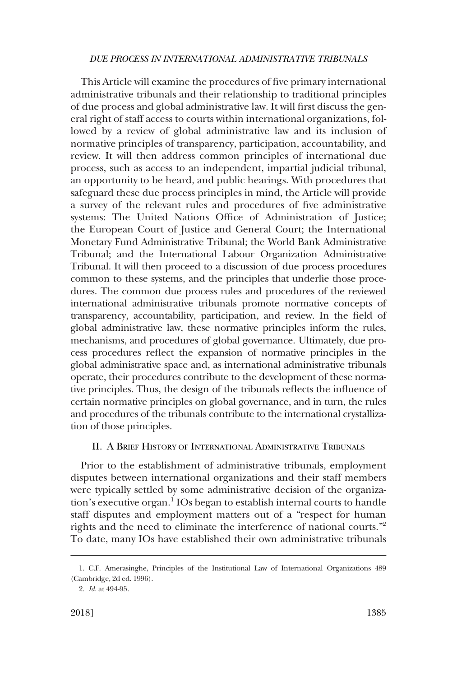<span id="page-2-0"></span>This Article will examine the procedures of five primary international administrative tribunals and their relationship to traditional principles of due process and global administrative law. It will first discuss the general right of staff access to courts within international organizations, followed by a review of global administrative law and its inclusion of normative principles of transparency, participation, accountability, and review. It will then address common principles of international due process, such as access to an independent, impartial judicial tribunal, an opportunity to be heard, and public hearings. With procedures that safeguard these due process principles in mind, the Article will provide a survey of the relevant rules and procedures of five administrative systems: The United Nations Office of Administration of Justice; the European Court of Justice and General Court; the International Monetary Fund Administrative Tribunal; the World Bank Administrative Tribunal; and the International Labour Organization Administrative Tribunal. It will then proceed to a discussion of due process procedures common to these systems, and the principles that underlie those procedures. The common due process rules and procedures of the reviewed international administrative tribunals promote normative concepts of transparency, accountability, participation, and review. In the field of global administrative law, these normative principles inform the rules, mechanisms, and procedures of global governance. Ultimately, due process procedures reflect the expansion of normative principles in the global administrative space and, as international administrative tribunals operate, their procedures contribute to the development of these normative principles. Thus, the design of the tribunals reflects the influence of certain normative principles on global governance, and in turn, the rules and procedures of the tribunals contribute to the international crystallization of those principles.

## II. A BRIEF HISTORY OF INTERNATIONAL ADMINISTRATIVE TRIBUNALS

Prior to the establishment of administrative tribunals, employment disputes between international organizations and their staff members were typically settled by some administrative decision of the organization's executive organ.<sup>1</sup> IOs began to establish internal courts to handle staff disputes and employment matters out of a "respect for human rights and the need to eliminate the interference of national courts."<sup>2</sup> To date, many IOs have established their own administrative tribunals

<sup>1.</sup> C.F. Amerasinghe, Principles of the Institutional Law of International Organizations 489 (Cambridge, 2d ed. 1996).

<sup>2.</sup> *Id*. at 494-95.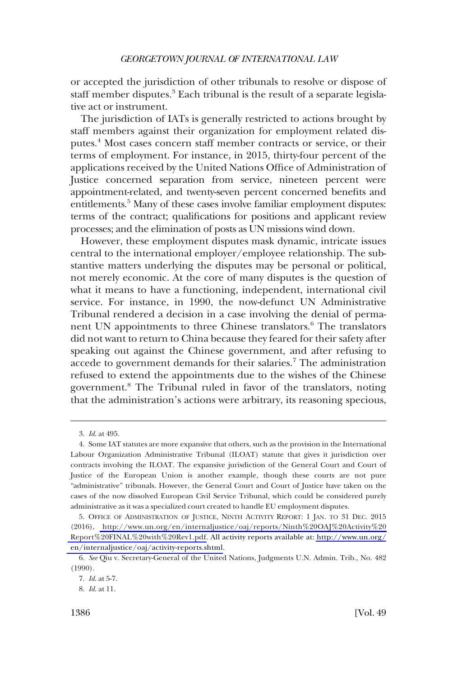or accepted the jurisdiction of other tribunals to resolve or dispose of staff member disputes.<sup>3</sup> Each tribunal is the result of a separate legislative act or instrument.

The jurisdiction of IATs is generally restricted to actions brought by staff members against their organization for employment related disputes.4 Most cases concern staff member contracts or service, or their terms of employment. For instance, in 2015, thirty-four percent of the applications received by the United Nations Office of Administration of Justice concerned separation from service, nineteen percent were appointment-related, and twenty-seven percent concerned benefits and entitlements.<sup>5</sup> Many of these cases involve familiar employment disputes: terms of the contract; qualifications for positions and applicant review processes; and the elimination of posts as UN missions wind down.

However, these employment disputes mask dynamic, intricate issues central to the international employer/employee relationship. The substantive matters underlying the disputes may be personal or political, not merely economic. At the core of many disputes is the question of what it means to have a functioning, independent, international civil service. For instance, in 1990, the now-defunct UN Administrative Tribunal rendered a decision in a case involving the denial of permanent UN appointments to three Chinese translators.<sup>6</sup> The translators did not want to return to China because they feared for their safety after speaking out against the Chinese government, and after refusing to accede to government demands for their salaries.<sup>7</sup> The administration refused to extend the appointments due to the wishes of the Chinese government.8 The Tribunal ruled in favor of the translators, noting that the administration's actions were arbitrary, its reasoning specious,

<sup>3.</sup> *Id*. at 495.

<sup>4.</sup> Some IAT statutes are more expansive that others, such as the provision in the International Labour Organization Administrative Tribunal (ILOAT) statute that gives it jurisdiction over contracts involving the ILOAT. The expansive jurisdiction of the General Court and Court of Justice of the European Union is another example, though these courts are not pure "administrative" tribunals. However, the General Court and Court of Justice have taken on the cases of the now dissolved European Civil Service Tribunal, which could be considered purely administrative as it was a specialized court created to handle EU employment disputes.

<sup>5.</sup> OFFICE OF ADMINISTRATION OF JUSTICE, NINTH ACTIVITY REPORT: 1 JAN. TO 31 DEC. 2015 (2016), [http://www.un.org/en/internaljustice/oaj/reports/Ninth%20OAJ%20Activity%20](http://www.un.org/en/internaljustice/oaj/reports/Ninth%20OAJ%20Activity%20Report%20FINAL%20with%20Rev1.pdf) [Report%20FINAL%20with%20Rev1.pdf.](http://www.un.org/en/internaljustice/oaj/reports/Ninth%20OAJ%20Activity%20Report%20FINAL%20with%20Rev1.pdf) All activity reports available at: [http://www.un.org/](http://www.un.org/en/internaljustice/oaj/activity-reports.shtml) [en/internaljustice/oaj/activity-reports.shtml](http://www.un.org/en/internaljustice/oaj/activity-reports.shtml).

<sup>6.</sup> *See* Qiu v. Secretary-General of the United Nations, Judgments U.N. Admin. Trib., No. 482 (1990).

<sup>7.</sup> *Id*. at 5-7.

<sup>8.</sup> *Id*. at 11.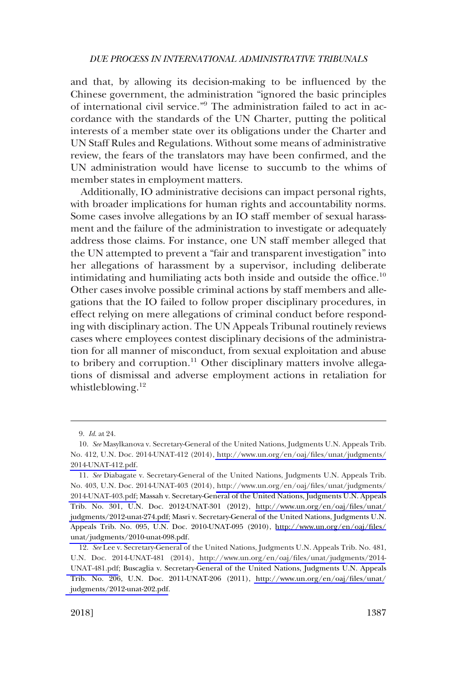and that, by allowing its decision-making to be influenced by the Chinese government, the administration "ignored the basic principles of international civil service."9 The administration failed to act in accordance with the standards of the UN Charter, putting the political interests of a member state over its obligations under the Charter and UN Staff Rules and Regulations. Without some means of administrative review, the fears of the translators may have been confirmed, and the UN administration would have license to succumb to the whims of member states in employment matters.

Additionally, IO administrative decisions can impact personal rights, with broader implications for human rights and accountability norms. Some cases involve allegations by an IO staff member of sexual harassment and the failure of the administration to investigate or adequately address those claims. For instance, one UN staff member alleged that the UN attempted to prevent a "fair and transparent investigation" into her allegations of harassment by a supervisor, including deliberate intimidating and humiliating acts both inside and outside the office.<sup>10</sup> Other cases involve possible criminal actions by staff members and allegations that the IO failed to follow proper disciplinary procedures, in effect relying on mere allegations of criminal conduct before responding with disciplinary action. The UN Appeals Tribunal routinely reviews cases where employees contest disciplinary decisions of the administration for all manner of misconduct, from sexual exploitation and abuse to bribery and corruption.<sup>11</sup> Other disciplinary matters involve allegations of dismissal and adverse employment actions in retaliation for whistleblowing.<sup>12</sup>

<sup>9.</sup> *Id*. at 24.

*See* Masylkanova v. Secretary-General of the United Nations, Judgments U.N. Appeals Trib. 10. No. 412, U.N. Doc. 2014-UNAT-412 (2014), [http://www.un.org/en/oaj/files/unat/judgments/](http://www.un.org/en/oaj/files/unat/judgments/2014-UNAT-412.pdf) [2014-UNAT-412.pdf.](http://www.un.org/en/oaj/files/unat/judgments/2014-UNAT-412.pdf)

*See* Diabagate v. Secretary-General of the United Nations, Judgments U.N. Appeals Trib. 11. No. 403, U.N. Doc. 2014-UNAT-403 (2014), [http://www.un.org/en/oaj/files/unat/judgments/](http://www.un.org/en/oaj/files/unat/judgments/2014-UNAT-403.pdf) [2014-UNAT-403.pdf;](http://www.un.org/en/oaj/files/unat/judgments/2014-UNAT-403.pdf) Massah v. Secretary-General of the United Nations, Judgments U.N. Appeals Trib. No. 301, U.N. Doc. 2012-UNAT-301 (2012), [http://www.un.org/en/oaj/files/unat/](http://www.un.org/en/oaj/files/unat/judgments/2012-unat-274.pdf) [judgments/2012-unat-274.pdf;](http://www.un.org/en/oaj/files/unat/judgments/2012-unat-274.pdf) Masri v. Secretary-General of the United Nations, Judgments U.N. Appeals Trib. No. 095, U.N. Doc. 2010-UNAT-095 (2010), [http://www.un.org/en/oaj/files/](http://www.un.org/en/oaj/files/unat/judgments/2010-unat-098.pdf)  [unat/judgments/2010-unat-098.pdf](http://www.un.org/en/oaj/files/unat/judgments/2010-unat-098.pdf).

<sup>12.</sup>  *See* Lee v. Secretary-General of the United Nations, Judgments U.N. Appeals Trib. No. 481, U.N. Doc. 2014-UNAT-481 (2014), [http://www.un.org/en/oaj/files/unat/judgments/2014-](http://www.un.org/en/oaj/files/unat/judgments/2014-UNAT-481.pdf) [UNAT-481.pdf](http://www.un.org/en/oaj/files/unat/judgments/2014-UNAT-481.pdf); Buscaglia v. Secretary-General of the United Nations, Judgments U.N. Appeals Trib. No. 206, U.N. Doc. 2011-UNAT-206 (2011), [http://www.un.org/en/oaj/files/unat/](http://www.un.org/en/oaj/files/unat/judgments/2012-unat-202.pdf) [judgments/2012-unat-202.pdf](http://www.un.org/en/oaj/files/unat/judgments/2012-unat-202.pdf).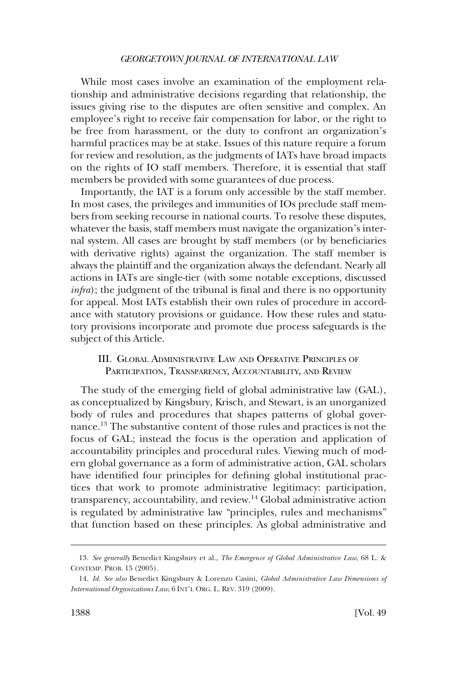<span id="page-5-0"></span>While most cases involve an examination of the employment relationship and administrative decisions regarding that relationship, the issues giving rise to the disputes are often sensitive and complex. An employee's right to receive fair compensation for labor, or the right to be free from harassment, or the duty to confront an organization's harmful practices may be at stake. Issues of this nature require a forum for review and resolution, as the judgments of IATs have broad impacts on the rights of IO staff members. Therefore, it is essential that staff members be provided with some guarantees of due process.

Importantly, the IAT is a forum only accessible by the staff member. In most cases, the privileges and immunities of IOs preclude staff members from seeking recourse in national courts. To resolve these disputes, whatever the basis, staff members must navigate the organization's internal system. All cases are brought by staff members (or by beneficiaries with derivative rights) against the organization. The staff member is always the plaintiff and the organization always the defendant. Nearly all actions in IATs are single-tier (with some notable exceptions, discussed *infra*); the judgment of the tribunal is final and there is no opportunity for appeal. Most IATs establish their own rules of procedure in accordance with statutory provisions or guidance. How these rules and statutory provisions incorporate and promote due process safeguards is the subject of this Article.

## III. GLOBAL ADMINISTRATIVE LAW AND OPERATIVE PRINCIPLES OF PARTICIPATION, TRANSPARENCY, ACCOUNTABILITY, AND REVIEW

The study of the emerging field of global administrative law (GAL), as conceptualized by Kingsbury, Krisch, and Stewart, is an unorganized body of rules and procedures that shapes patterns of global governance.13 The substantive content of those rules and practices is not the focus of GAL; instead the focus is the operation and application of accountability principles and procedural rules. Viewing much of modern global governance as a form of administrative action, GAL scholars have identified four principles for defining global institutional practices that work to promote administrative legitimacy: participation, transparency, accountability, and review.<sup>14</sup> Global administrative action is regulated by administrative law "principles, rules and mechanisms" that function based on these principles. As global administrative and

<sup>13.</sup> *See generally* Benedict Kingsbury et al., *The Emergence of Global Administrative Law*, 68 L. & CONTEMP. PROB. 15 (2005).

<sup>14.</sup> *Id. See also* Benedict Kingsbury & Lorenzo Casini, *Global Administrative Law Dimensions of International Organizations Law*, 6 INT'L ORG. L. REV. 319 (2009).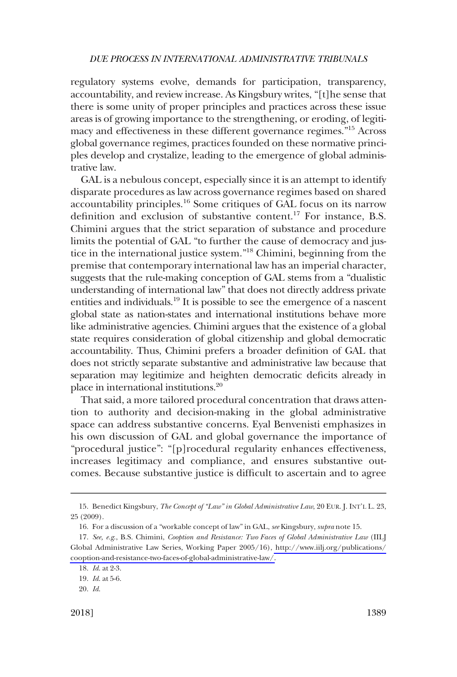regulatory systems evolve, demands for participation, transparency, accountability, and review increase. As Kingsbury writes, "[t]he sense that there is some unity of proper principles and practices across these issue areas is of growing importance to the strengthening, or eroding, of legitimacy and effectiveness in these different governance regimes."15 Across global governance regimes, practices founded on these normative principles develop and crystalize, leading to the emergence of global administrative law.

GAL is a nebulous concept, especially since it is an attempt to identify disparate procedures as law across governance regimes based on shared accountability principles.16 Some critiques of GAL focus on its narrow definition and exclusion of substantive content.17 For instance, B.S. Chimini argues that the strict separation of substance and procedure limits the potential of GAL "to further the cause of democracy and justice in the international justice system."18 Chimini, beginning from the premise that contemporary international law has an imperial character, suggests that the rule-making conception of GAL stems from a "dualistic understanding of international law" that does not directly address private entities and individuals.<sup>19</sup> It is possible to see the emergence of a nascent global state as nation-states and international institutions behave more like administrative agencies. Chimini argues that the existence of a global state requires consideration of global citizenship and global democratic accountability. Thus, Chimini prefers a broader definition of GAL that does not strictly separate substantive and administrative law because that separation may legitimize and heighten democratic deficits already in place in international institutions.20

That said, a more tailored procedural concentration that draws attention to authority and decision-making in the global administrative space can address substantive concerns. Eyal Benvenisti emphasizes in his own discussion of GAL and global governance the importance of "procedural justice": "[p]rocedural regularity enhances effectiveness, increases legitimacy and compliance, and ensures substantive outcomes. Because substantive justice is difficult to ascertain and to agree

<sup>15.</sup> Benedict Kingsbury, *The Concept of "Law" in Global Administrative Law*, 20 EUR. J. INT'L L. 23, 25 (2009).

<sup>16.</sup> For a discussion of a "workable concept of law" in GAL, *see* Kingsbury, *supra* note 15.

*See, e.g*., B.S. Chimini, *Cooption and Resistance: Two Faces of Global Administrative Law* (IILJ 17. Global Administrative Law Series, Working Paper 2005/16), [http://www.iilj.org/publications/](http://www.iilj.org/publications/cooption-and-resistance-two-faces-of-global-administrative-law/) [cooption-and-resistance-two-faces-of-global-administrative-law/.](http://www.iilj.org/publications/cooption-and-resistance-two-faces-of-global-administrative-law/)

<sup>18.</sup> *Id*. at 2-3.

<sup>19.</sup> *Id*. at 5-6.

<sup>20.</sup> *Id*.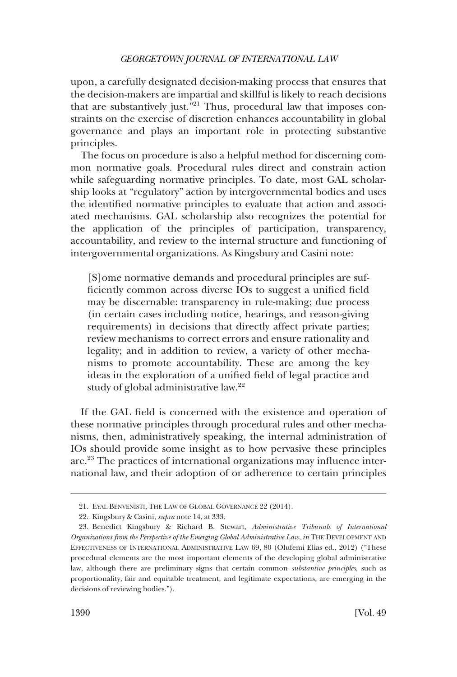upon, a carefully designated decision-making process that ensures that the decision-makers are impartial and skillful is likely to reach decisions that are substantively just.<sup>521</sup> Thus, procedural law that imposes constraints on the exercise of discretion enhances accountability in global governance and plays an important role in protecting substantive principles.

The focus on procedure is also a helpful method for discerning common normative goals. Procedural rules direct and constrain action while safeguarding normative principles. To date, most GAL scholarship looks at "regulatory" action by intergovernmental bodies and uses the identified normative principles to evaluate that action and associated mechanisms. GAL scholarship also recognizes the potential for the application of the principles of participation, transparency, accountability, and review to the internal structure and functioning of intergovernmental organizations. As Kingsbury and Casini note:

[S]ome normative demands and procedural principles are sufficiently common across diverse IOs to suggest a unified field may be discernable: transparency in rule-making; due process (in certain cases including notice, hearings, and reason-giving requirements) in decisions that directly affect private parties; review mechanisms to correct errors and ensure rationality and legality; and in addition to review, a variety of other mechanisms to promote accountability. These are among the key ideas in the exploration of a unified field of legal practice and study of global administrative law.<sup>22</sup>

If the GAL field is concerned with the existence and operation of these normative principles through procedural rules and other mechanisms, then, administratively speaking, the internal administration of IOs should provide some insight as to how pervasive these principles are.23 The practices of international organizations may influence international law, and their adoption of or adherence to certain principles

<sup>21.</sup> EYAL BENVENISTI, THE LAW OF GLOBAL GOVERNANCE 22 (2014).

<sup>22.</sup> Kingsbury & Casini, *supra* note 14, at 333.

<sup>23.</sup> Benedict Kingsbury & Richard B. Stewart, *Administrative Tribunals of International Organizations from the Perspective of the Emerging Global Administrative Law*, *in* THE DEVELOPMENT AND EFFECTIVENESS OF INTERNATIONAL ADMINISTRATIVE LAW 69, 80 (Olufemi Elias ed., 2012) ("These procedural elements are the most important elements of the developing global administrative law, although there are preliminary signs that certain common *substantive principles*, such as proportionality, fair and equitable treatment, and legitimate expectations, are emerging in the decisions of reviewing bodies.").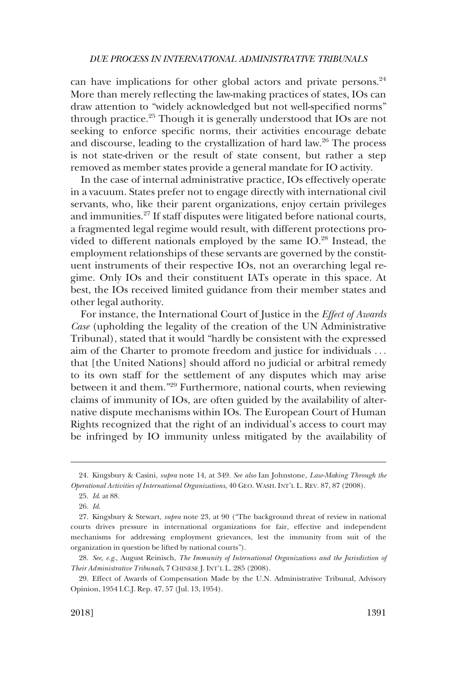can have implications for other global actors and private persons.<sup>24</sup> More than merely reflecting the law-making practices of states, IOs can draw attention to "widely acknowledged but not well-specified norms" through practice.25 Though it is generally understood that IOs are not seeking to enforce specific norms, their activities encourage debate and discourse, leading to the crystallization of hard law.<sup>26</sup> The process is not state-driven or the result of state consent, but rather a step removed as member states provide a general mandate for IO activity.

In the case of internal administrative practice, IOs effectively operate in a vacuum. States prefer not to engage directly with international civil servants, who, like their parent organizations, enjoy certain privileges and immunities.27 If staff disputes were litigated before national courts, a fragmented legal regime would result, with different protections provided to different nationals employed by the same  $IO.^{28}$  Instead, the employment relationships of these servants are governed by the constituent instruments of their respective IOs, not an overarching legal regime. Only IOs and their constituent IATs operate in this space. At best, the IOs received limited guidance from their member states and other legal authority.

For instance, the International Court of Justice in the *Effect of Awards Case* (upholding the legality of the creation of the UN Administrative Tribunal), stated that it would "hardly be consistent with the expressed aim of the Charter to promote freedom and justice for individuals . . . that [the United Nations] should afford no judicial or arbitral remedy to its own staff for the settlement of any disputes which may arise between it and them."29 Furthermore, national courts, when reviewing claims of immunity of IOs, are often guided by the availability of alternative dispute mechanisms within IOs. The European Court of Human Rights recognized that the right of an individual's access to court may be infringed by IO immunity unless mitigated by the availability of

<sup>24.</sup> Kingsbury & Casini, *supra* note 14, at 349. *See also* Ian Johnstone, *Law-Making Through the Operational Activities of International Organizations*, 40 GEO. WASH. INT'L L. REV. 87, 87 (2008).

<sup>25.</sup> *Id*. at 88.

<sup>26.</sup> *Id*.

<sup>27.</sup> Kingsbury & Stewart, *supra* note 23, at 90 ("The background threat of review in national courts drives pressure in international organizations for fair, effective and independent mechanisms for addressing employment grievances, lest the immunity from suit of the organization in question be lifted by national courts").

<sup>28.</sup> *See, e.g*., August Reinisch, *The Immunity of International Organizations and the Jurisdiction of Their Administrative Tribunals*, 7 CHINESE J. INT'L L. 285 (2008).

<sup>29.</sup> Effect of Awards of Compensation Made by the U.N. Administrative Tribunal, Advisory Opinion, 1954 I.C.J. Rep. 47, 57 (Jul. 13, 1954).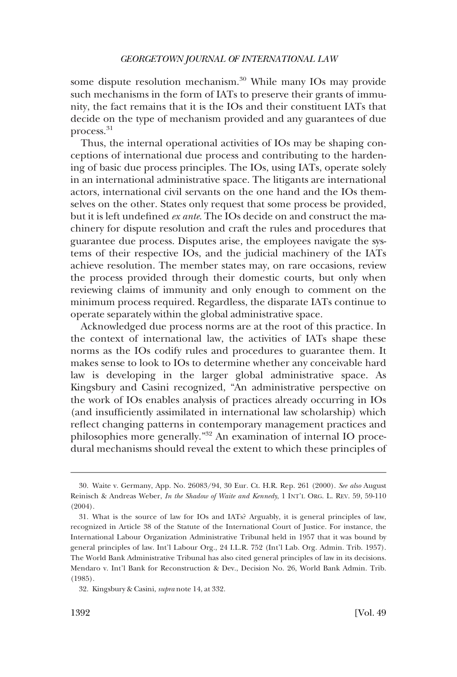some dispute resolution mechanism.<sup>30</sup> While many IOs may provide such mechanisms in the form of IATs to preserve their grants of immunity, the fact remains that it is the IOs and their constituent IATs that decide on the type of mechanism provided and any guarantees of due process.31

Thus, the internal operational activities of IOs may be shaping conceptions of international due process and contributing to the hardening of basic due process principles. The IOs, using IATs, operate solely in an international administrative space. The litigants are international actors, international civil servants on the one hand and the IOs themselves on the other. States only request that some process be provided, but it is left undefined *ex ante*. The IOs decide on and construct the machinery for dispute resolution and craft the rules and procedures that guarantee due process. Disputes arise, the employees navigate the systems of their respective IOs, and the judicial machinery of the IATs achieve resolution. The member states may, on rare occasions, review the process provided through their domestic courts, but only when reviewing claims of immunity and only enough to comment on the minimum process required. Regardless, the disparate IATs continue to operate separately within the global administrative space.

Acknowledged due process norms are at the root of this practice. In the context of international law, the activities of IATs shape these norms as the IOs codify rules and procedures to guarantee them. It makes sense to look to IOs to determine whether any conceivable hard law is developing in the larger global administrative space. As Kingsbury and Casini recognized, "An administrative perspective on the work of IOs enables analysis of practices already occurring in IOs (and insufficiently assimilated in international law scholarship) which reflect changing patterns in contemporary management practices and philosophies more generally."32 An examination of internal IO procedural mechanisms should reveal the extent to which these principles of

<sup>30.</sup> Waite v. Germany, App. No. 26083/94, 30 Eur. Ct. H.R. Rep. 261 (2000). *See also* August Reinisch & Andreas Weber, *In the Shadow of Waite and Kennedy*, 1 INT'L ORG. L. REV. 59, 59-110 (2004).

<sup>31.</sup> What is the source of law for IOs and IATs? Arguably, it is general principles of law, recognized in Article 38 of the Statute of the International Court of Justice. For instance, the International Labour Organization Administrative Tribunal held in 1957 that it was bound by general principles of law. Int'l Labour Org., 24 I.L.R. 752 (Int'l Lab. Org. Admin. Trib. 1957). The World Bank Administrative Tribunal has also cited general principles of law in its decisions. Mendaro v. Int'l Bank for Reconstruction & Dev., Decision No. 26, World Bank Admin. Trib. (1985).

<sup>32.</sup> Kingsbury & Casini, *supra* note 14, at 332.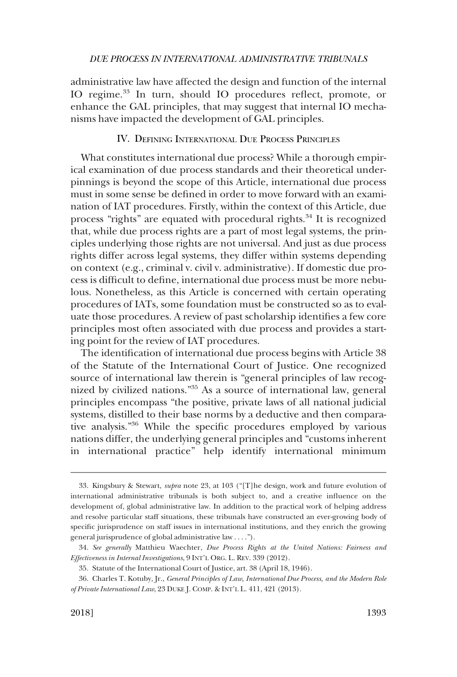<span id="page-10-0"></span>administrative law have affected the design and function of the internal IO regime.<sup>33</sup> In turn, should IO procedures reflect, promote, or enhance the GAL principles, that may suggest that internal IO mechanisms have impacted the development of GAL principles.

### IV. DEFINING INTERNATIONAL DUE PROCESS PRINCIPLES

What constitutes international due process? While a thorough empirical examination of due process standards and their theoretical underpinnings is beyond the scope of this Article, international due process must in some sense be defined in order to move forward with an examination of IAT procedures. Firstly, within the context of this Article, due process "rights" are equated with procedural rights.<sup>34</sup> It is recognized that, while due process rights are a part of most legal systems, the principles underlying those rights are not universal. And just as due process rights differ across legal systems, they differ within systems depending on context (e.g., criminal v. civil v. administrative). If domestic due process is difficult to define, international due process must be more nebulous. Nonetheless, as this Article is concerned with certain operating procedures of IATs, some foundation must be constructed so as to evaluate those procedures. A review of past scholarship identifies a few core principles most often associated with due process and provides a starting point for the review of IAT procedures.

The identification of international due process begins with Article 38 of the Statute of the International Court of Justice. One recognized source of international law therein is "general principles of law recognized by civilized nations."35 As a source of international law, general principles encompass "the positive, private laws of all national judicial systems, distilled to their base norms by a deductive and then comparative analysis."36 While the specific procedures employed by various nations differ, the underlying general principles and "customs inherent in international practice" help identify international minimum

<sup>33.</sup> Kingsbury & Stewart, *supra* note 23, at 103 ("[T]he design, work and future evolution of international administrative tribunals is both subject to, and a creative influence on the development of, global administrative law. In addition to the practical work of helping address and resolve particular staff situations, these tribunals have constructed an ever-growing body of specific jurisprudence on staff issues in international institutions, and they enrich the growing general jurisprudence of global administrative law . . . .").

<sup>34.</sup> *See generally* Matthieu Waechter, *Due Process Rights at the United Nations: Fairness and Effectiveness in Internal Investigations*, 9 INT'L ORG. L. REV. 339 (2012).

<sup>35.</sup> Statute of the International Court of Justice, art. 38 (April 18, 1946).

<sup>36.</sup> Charles T. Kotuby, Jr., *General Principles of Law, International Due Process, and the Modern Role of Private International Law*, 23 DUKE J. COMP. & INT'L L. 411, 421 (2013).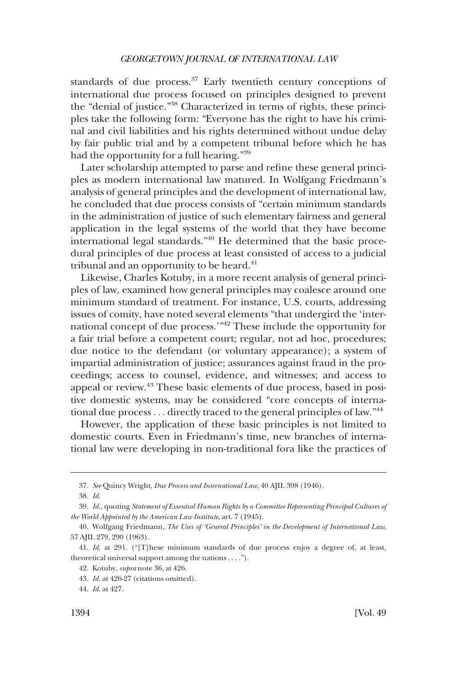standards of due process.<sup>37</sup> Early twentieth century conceptions of international due process focused on principles designed to prevent the "denial of justice."38 Characterized in terms of rights, these principles take the following form: "Everyone has the right to have his criminal and civil liabilities and his rights determined without undue delay by fair public trial and by a competent tribunal before which he has had the opportunity for a full hearing."<sup>39</sup>

Later scholarship attempted to parse and refine these general principles as modern international law matured. In Wolfgang Friedmann's analysis of general principles and the development of international law, he concluded that due process consists of "certain minimum standards in the administration of justice of such elementary fairness and general application in the legal systems of the world that they have become international legal standards."40 He determined that the basic procedural principles of due process at least consisted of access to a judicial tribunal and an opportunity to be heard. $41$ 

Likewise, Charles Kotuby, in a more recent analysis of general principles of law, examined how general principles may coalesce around one minimum standard of treatment. For instance, U.S. courts, addressing issues of comity, have noted several elements "that undergird the 'international concept of due process.'"42 These include the opportunity for a fair trial before a competent court; regular, not ad hoc, procedures; due notice to the defendant (or voluntary appearance); a system of impartial administration of justice; assurances against fraud in the proceedings; access to counsel, evidence, and witnesses; and access to appeal or review.43 These basic elements of due process, based in positive domestic systems, may be considered "core concepts of international due process . . . directly traced to the general principles of law."44

However, the application of these basic principles is not limited to domestic courts. Even in Friedmann's time, new branches of international law were developing in non-traditional fora like the practices of

<sup>37.</sup> *See* Quincy Wright, *Due Process and International Law*, 40 AJIL 398 (1946).

<sup>38.</sup> *Id*.

<sup>39.</sup> *Id*., quoting *Statement of Essential Human Rights by a Committee Representing Principal Cultures of the World Appointed by the American Law Institute*, art. 7 (1945).

<sup>40.</sup> Wolfgang Friedmann, *The Uses of 'General Principles' in the Development of International Law*, 57 AJIL 279, 290 (1963).

<sup>41.</sup> *Id*. at 291. ("[T]hese minimum standards of due process enjoy a degree of, at least, theoretical universal support among the nations . . . .").

<sup>42.</sup> Kotuby, *supra* note 36, at 426.

<sup>43.</sup> *Id*. at 426-27 (citations omitted).

<sup>44.</sup> *Id*. at 427.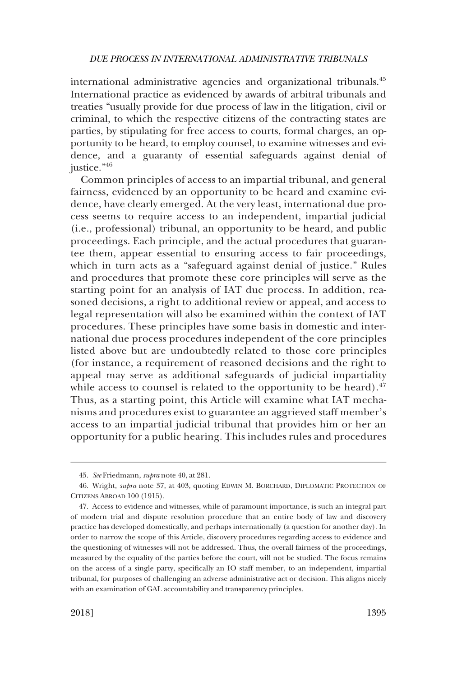international administrative agencies and organizational tribunals.<sup>45</sup> International practice as evidenced by awards of arbitral tribunals and treaties "usually provide for due process of law in the litigation, civil or criminal, to which the respective citizens of the contracting states are parties, by stipulating for free access to courts, formal charges, an opportunity to be heard, to employ counsel, to examine witnesses and evidence, and a guaranty of essential safeguards against denial of justice."46

Common principles of access to an impartial tribunal, and general fairness, evidenced by an opportunity to be heard and examine evidence, have clearly emerged. At the very least, international due process seems to require access to an independent, impartial judicial (i.e., professional) tribunal, an opportunity to be heard, and public proceedings. Each principle, and the actual procedures that guarantee them, appear essential to ensuring access to fair proceedings, which in turn acts as a "safeguard against denial of justice." Rules and procedures that promote these core principles will serve as the starting point for an analysis of IAT due process. In addition, reasoned decisions, a right to additional review or appeal, and access to legal representation will also be examined within the context of IAT procedures. These principles have some basis in domestic and international due process procedures independent of the core principles listed above but are undoubtedly related to those core principles (for instance, a requirement of reasoned decisions and the right to appeal may serve as additional safeguards of judicial impartiality while access to counsel is related to the opportunity to be heard). $47$ Thus, as a starting point, this Article will examine what IAT mechanisms and procedures exist to guarantee an aggrieved staff member's access to an impartial judicial tribunal that provides him or her an opportunity for a public hearing. This includes rules and procedures

<sup>45.</sup> *See* Friedmann, *supra* note 40, at 281.

<sup>46.</sup> Wright, *supra* note 37, at 403, quoting EDWIN M. BORCHARD, DIPLOMATIC PROTECTION OF CITIZENS ABROAD 100 (1915).

<sup>47.</sup> Access to evidence and witnesses, while of paramount importance, is such an integral part of modern trial and dispute resolution procedure that an entire body of law and discovery practice has developed domestically, and perhaps internationally (a question for another day). In order to narrow the scope of this Article, discovery procedures regarding access to evidence and the questioning of witnesses will not be addressed. Thus, the overall fairness of the proceedings, measured by the equality of the parties before the court, will not be studied. The focus remains on the access of a single party, specifically an IO staff member, to an independent, impartial tribunal, for purposes of challenging an adverse administrative act or decision. This aligns nicely with an examination of GAL accountability and transparency principles.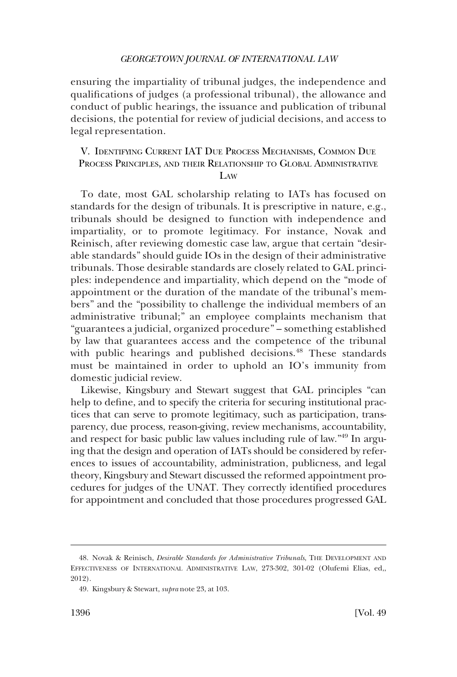<span id="page-13-0"></span>ensuring the impartiality of tribunal judges, the independence and qualifications of judges (a professional tribunal), the allowance and conduct of public hearings, the issuance and publication of tribunal decisions, the potential for review of judicial decisions, and access to legal representation.

## V. IDENTIFYING CURRENT IAT DUE PROCESS MECHANISMS, COMMON DUE PROCESS PRINCIPLES, AND THEIR RELATIONSHIP TO GLOBAL ADMINISTRATIVE LAW

To date, most GAL scholarship relating to IATs has focused on standards for the design of tribunals. It is prescriptive in nature, e.g., tribunals should be designed to function with independence and impartiality, or to promote legitimacy. For instance, Novak and Reinisch, after reviewing domestic case law, argue that certain "desirable standards" should guide IOs in the design of their administrative tribunals. Those desirable standards are closely related to GAL principles: independence and impartiality, which depend on the "mode of appointment or the duration of the mandate of the tribunal's members" and the "possibility to challenge the individual members of an administrative tribunal;" an employee complaints mechanism that "guarantees a judicial, organized procedure" – something established by law that guarantees access and the competence of the tribunal with public hearings and published decisions.<sup>48</sup> These standards must be maintained in order to uphold an IO's immunity from domestic judicial review.

Likewise, Kingsbury and Stewart suggest that GAL principles "can help to define, and to specify the criteria for securing institutional practices that can serve to promote legitimacy, such as participation, transparency, due process, reason-giving, review mechanisms, accountability, and respect for basic public law values including rule of law."49 In arguing that the design and operation of IATs should be considered by references to issues of accountability, administration, publicness, and legal theory, Kingsbury and Stewart discussed the reformed appointment procedures for judges of the UNAT. They correctly identified procedures for appointment and concluded that those procedures progressed GAL

<sup>48.</sup> Novak & Reinisch, *Desirable Standards for Administrative Tribunals*, THE DEVELOPMENT AND EFFECTIVENESS OF INTERNATIONAL ADMINISTRATIVE LAW, 273-302, 301-02 (Olufemi Elias, ed,, 2012).

<sup>49.</sup> Kingsbury & Stewart, *supra* note 23, at 103.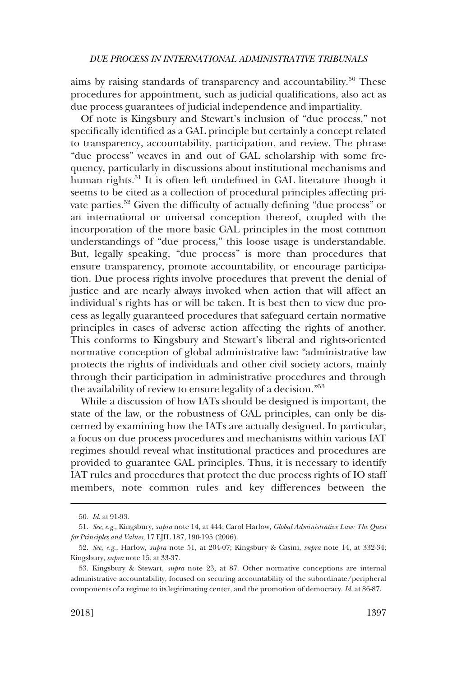aims by raising standards of transparency and accountability.<sup>50</sup> These procedures for appointment, such as judicial qualifications, also act as due process guarantees of judicial independence and impartiality.

Of note is Kingsbury and Stewart's inclusion of "due process," not specifically identified as a GAL principle but certainly a concept related to transparency, accountability, participation, and review. The phrase "due process" weaves in and out of GAL scholarship with some frequency, particularly in discussions about institutional mechanisms and human rights.<sup>51</sup> It is often left undefined in GAL literature though it seems to be cited as a collection of procedural principles affecting private parties.<sup>52</sup> Given the difficulty of actually defining "due process" or an international or universal conception thereof, coupled with the incorporation of the more basic GAL principles in the most common understandings of "due process," this loose usage is understandable. But, legally speaking, "due process" is more than procedures that ensure transparency, promote accountability, or encourage participation. Due process rights involve procedures that prevent the denial of justice and are nearly always invoked when action that will affect an individual's rights has or will be taken. It is best then to view due process as legally guaranteed procedures that safeguard certain normative principles in cases of adverse action affecting the rights of another. This conforms to Kingsbury and Stewart's liberal and rights-oriented normative conception of global administrative law: "administrative law protects the rights of individuals and other civil society actors, mainly through their participation in administrative procedures and through the availability of review to ensure legality of a decision."53

While a discussion of how IATs should be designed is important, the state of the law, or the robustness of GAL principles, can only be discerned by examining how the IATs are actually designed. In particular, a focus on due process procedures and mechanisms within various IAT regimes should reveal what institutional practices and procedures are provided to guarantee GAL principles. Thus, it is necessary to identify IAT rules and procedures that protect the due process rights of IO staff members, note common rules and key differences between the

<sup>50.</sup> *Id*. at 91-93.

<sup>51.</sup> *See, e.g*., Kingsbury, *supra* note 14, at 444; Carol Harlow, *Global Administrative Law: The Quest for Principles and Values*, 17 EJIL 187, 190-195 (2006).

<sup>52.</sup> *See, e.g*., Harlow, *supra* note 51, at 204-07; Kingsbury & Casini, *supra* note 14, at 332-34; Kingsbury, *supra* note 15, at 33-37.

<sup>53.</sup> Kingsbury & Stewart, *supra* note 23, at 87. Other normative conceptions are internal administrative accountability, focused on securing accountability of the subordinate/peripheral components of a regime to its legitimating center, and the promotion of democracy. *Id*. at 86-87.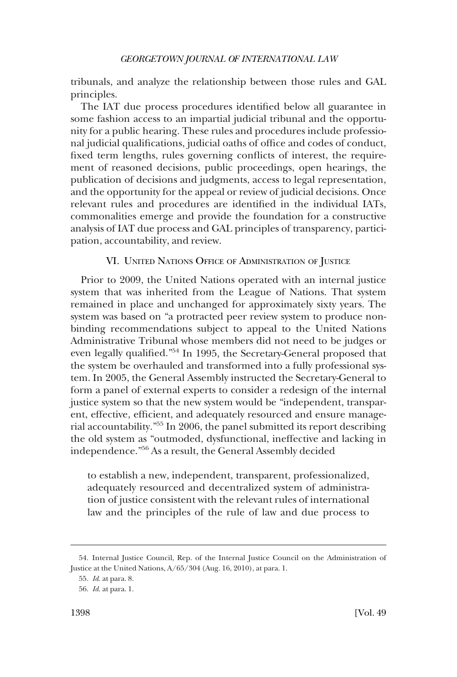<span id="page-15-0"></span>tribunals, and analyze the relationship between those rules and GAL principles.

The IAT due process procedures identified below all guarantee in some fashion access to an impartial judicial tribunal and the opportunity for a public hearing. These rules and procedures include professional judicial qualifications, judicial oaths of office and codes of conduct, fixed term lengths, rules governing conflicts of interest, the requirement of reasoned decisions, public proceedings, open hearings, the publication of decisions and judgments, access to legal representation, and the opportunity for the appeal or review of judicial decisions. Once relevant rules and procedures are identified in the individual IATs, commonalities emerge and provide the foundation for a constructive analysis of IAT due process and GAL principles of transparency, participation, accountability, and review.

## VI. UNITED NATIONS OFFICE OF ADMINISTRATION OF JUSTICE

Prior to 2009, the United Nations operated with an internal justice system that was inherited from the League of Nations. That system remained in place and unchanged for approximately sixty years. The system was based on "a protracted peer review system to produce nonbinding recommendations subject to appeal to the United Nations Administrative Tribunal whose members did not need to be judges or even legally qualified."54 In 1995, the Secretary-General proposed that the system be overhauled and transformed into a fully professional system. In 2005, the General Assembly instructed the Secretary-General to form a panel of external experts to consider a redesign of the internal justice system so that the new system would be "independent, transparent, effective, efficient, and adequately resourced and ensure managerial accountability."55 In 2006, the panel submitted its report describing the old system as "outmoded, dysfunctional, ineffective and lacking in independence."56 As a result, the General Assembly decided

to establish a new, independent, transparent, professionalized, adequately resourced and decentralized system of administration of justice consistent with the relevant rules of international law and the principles of the rule of law and due process to

<sup>54.</sup> Internal Justice Council, Rep. of the Internal Justice Council on the Administration of Justice at the United Nations, A/65/304 (Aug. 16, 2010), at para. 1.

<sup>55.</sup> *Id*. at para. 8.

<sup>56.</sup> *Id*. at para. 1.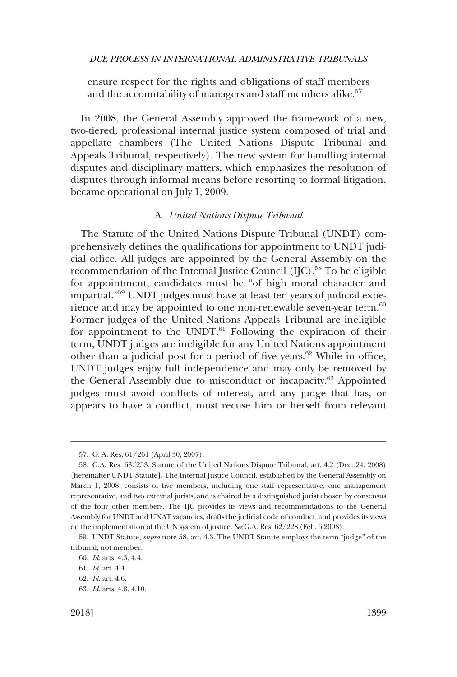<span id="page-16-0"></span>ensure respect for the rights and obligations of staff members and the accountability of managers and staff members alike.<sup>57</sup>

In 2008, the General Assembly approved the framework of a new, two-tiered, professional internal justice system composed of trial and appellate chambers (The United Nations Dispute Tribunal and Appeals Tribunal, respectively). The new system for handling internal disputes and disciplinary matters, which emphasizes the resolution of disputes through informal means before resorting to formal litigation, became operational on July 1, 2009.

## A. *United Nations Dispute Tribunal*

The Statute of the United Nations Dispute Tribunal (UNDT) comprehensively defines the qualifications for appointment to UNDT judicial office. All judges are appointed by the General Assembly on the recommendation of the Internal Justice Council (IJC).<sup>58</sup> To be eligible for appointment, candidates must be "of high moral character and impartial."59 UNDT judges must have at least ten years of judicial experience and may be appointed to one non-renewable seven-year term.<sup>60</sup> Former judges of the United Nations Appeals Tribunal are ineligible for appointment to the UNDT. $^{61}$  Following the expiration of their term, UNDT judges are ineligible for any United Nations appointment other than a judicial post for a period of five years.<sup>62</sup> While in office, UNDT judges enjoy full independence and may only be removed by the General Assembly due to misconduct or incapacity.63 Appointed judges must avoid conflicts of interest, and any judge that has, or appears to have a conflict, must recuse him or herself from relevant

<sup>57.</sup> G. A. Res. 61/261 (April 30, 2007).

<sup>58.</sup> G.A. Res. 63/253, Statute of the United Nations Dispute Tribunal, art. 4.2 (Dec. 24, 2008) [hereinafter UNDT Statute]. The Internal Justice Council, established by the General Assembly on March 1, 2008, consists of five members, including one staff representative, one management representative, and two external jurists, and is chaired by a distinguished jurist chosen by consensus of the four other members. The IJC provides its views and recommendations to the General Assembly for UNDT and UNAT vacancies, drafts the judicial code of conduct, and provides its views on the implementation of the UN system of justice. *See* G.A. Res. 62/228 (Feb. 6 2008).

<sup>59.</sup> UNDT Statute, *supra* note 58, art. 4.3. The UNDT Statute employs the term "judge" of the tribunal, not member.

<sup>60.</sup> *Id*. arts. 4.3, 4.4.

<sup>61.</sup> *Id*. art. 4.4.

<sup>62.</sup> *Id*. art. 4.6.

<sup>63.</sup> *Id*. arts. 4.8, 4.10.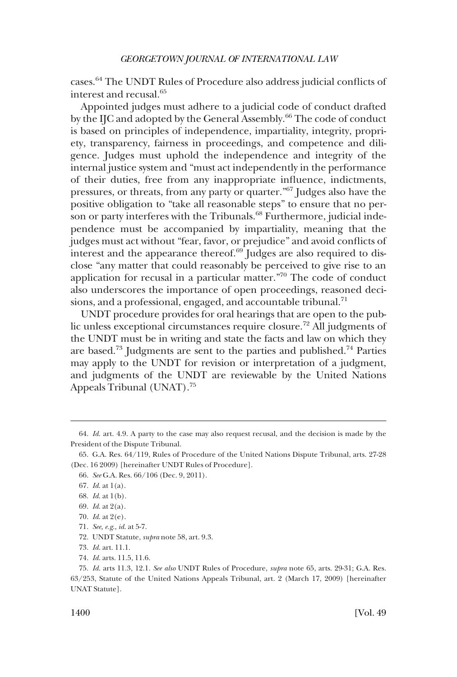cases.64 The UNDT Rules of Procedure also address judicial conflicts of interest and recusal.65

Appointed judges must adhere to a judicial code of conduct drafted by the IJC and adopted by the General Assembly.<sup>66</sup> The code of conduct is based on principles of independence, impartiality, integrity, propriety, transparency, fairness in proceedings, and competence and diligence. Judges must uphold the independence and integrity of the internal justice system and "must act independently in the performance of their duties, free from any inappropriate influence, indictments, pressures, or threats, from any party or quarter."67 Judges also have the positive obligation to "take all reasonable steps" to ensure that no person or party interferes with the Tribunals.<sup>68</sup> Furthermore, judicial independence must be accompanied by impartiality, meaning that the judges must act without "fear, favor, or prejudice" and avoid conflicts of interest and the appearance thereof. $69$  Judges are also required to disclose "any matter that could reasonably be perceived to give rise to an application for recusal in a particular matter."70 The code of conduct also underscores the importance of open proceedings, reasoned decisions, and a professional, engaged, and accountable tribunal.<sup>71</sup>

UNDT procedure provides for oral hearings that are open to the public unless exceptional circumstances require closure.72 All judgments of the UNDT must be in writing and state the facts and law on which they are based.<sup>73</sup> Judgments are sent to the parties and published.<sup>74</sup> Parties may apply to the UNDT for revision or interpretation of a judgment, and judgments of the UNDT are reviewable by the United Nations Appeals Tribunal (UNAT).75

<sup>64.</sup> *Id*. art. 4.9. A party to the case may also request recusal, and the decision is made by the President of the Dispute Tribunal.

<sup>65.</sup> G.A. Res. 64/119, Rules of Procedure of the United Nations Dispute Tribunal, arts. 27-28 (Dec. 16 2009) [hereinafter UNDT Rules of Procedure].

<sup>66.</sup> *See* G.A. Res. 66/106 (Dec. 9, 2011).

<sup>67.</sup> *Id*. at 1(a).

<sup>68.</sup> *Id*. at 1(b).

<sup>69.</sup> *Id*. at 2(a).

<sup>70.</sup> *Id*. at 2(e).

<sup>71.</sup> *See, e.g*., *id*. at 5-7.

<sup>72.</sup> UNDT Statute, *supra* note 58, art. 9.3.

<sup>73.</sup> *Id*. art. 11.1.

<sup>74.</sup> *Id*. arts. 11.5, 11.6.

<sup>75.</sup> *Id*. arts 11.3, 12.1. *See also* UNDT Rules of Procedure, *supra* note 65, arts. 29-31; G.A. Res. 63/253, Statute of the United Nations Appeals Tribunal, art. 2 (March 17, 2009) [hereinafter UNAT Statute].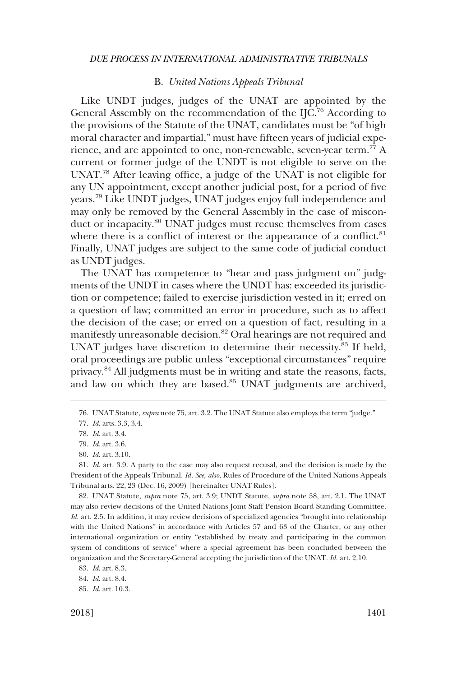## B. *United Nations Appeals Tribunal*

<span id="page-18-0"></span>Like UNDT judges, judges of the UNAT are appointed by the General Assembly on the recommendation of the IJC.<sup>76</sup> According to the provisions of the Statute of the UNAT, candidates must be "of high moral character and impartial," must have fifteen years of judicial experience, and are appointed to one, non-renewable, seven-year term.<sup>77</sup> A current or former judge of the UNDT is not eligible to serve on the UNAT.<sup>78</sup> After leaving office, a judge of the UNAT is not eligible for any UN appointment, except another judicial post, for a period of five years.79 Like UNDT judges, UNAT judges enjoy full independence and may only be removed by the General Assembly in the case of misconduct or incapacity.<sup>80</sup> UNAT judges must recuse themselves from cases where there is a conflict of interest or the appearance of a conflict. $81$ Finally, UNAT judges are subject to the same code of judicial conduct as UNDT judges.

The UNAT has competence to "hear and pass judgment on" judgments of the UNDT in cases where the UNDT has: exceeded its jurisdiction or competence; failed to exercise jurisdiction vested in it; erred on a question of law; committed an error in procedure, such as to affect the decision of the case; or erred on a question of fact, resulting in a manifestly unreasonable decision.<sup>82</sup> Oral hearings are not required and UNAT judges have discretion to determine their necessity.<sup>83</sup> If held, oral proceedings are public unless "exceptional circumstances" require privacy.84 All judgments must be in writing and state the reasons, facts, and law on which they are based.<sup>85</sup> UNAT judgments are archived,

82. UNAT Statute, *supra* note 75, art. 3.9; UNDT Statute, *supra* note 58, art. 2.1. The UNAT may also review decisions of the United Nations Joint Staff Pension Board Standing Committee. *Id.* art. 2.5. In addition, it may review decisions of specialized agencies "brought into relationship with the United Nations" in accordance with Articles 57 and 63 of the Charter, or any other international organization or entity "established by treaty and participating in the common system of conditions of service" where a special agreement has been concluded between the organization and the Secretary-General accepting the jurisdiction of the UNAT. *Id*. art. 2.10.

<sup>76.</sup> UNAT Statute, *supra* note 75, art. 3.2. The UNAT Statute also employs the term "judge."

<sup>77.</sup> *Id*. arts. 3.3, 3.4.

<sup>78.</sup> *Id*. art. 3.4.

<sup>79.</sup> *Id*. art. 3.6.

<sup>80.</sup> *Id*. art. 3.10.

<sup>81.</sup> *Id*. art. 3.9. A party to the case may also request recusal, and the decision is made by the President of the Appeals Tribunal. *Id. See, also*, Rules of Procedure of the United Nations Appeals Tribunal arts. 22, 23 (Dec. 16, 2009) [hereinafter UNAT Rules].

<sup>83.</sup> *Id*. art. 8.3.

<sup>84.</sup> *Id*. art. 8.4.

<sup>85.</sup> *Id*. art. 10.3.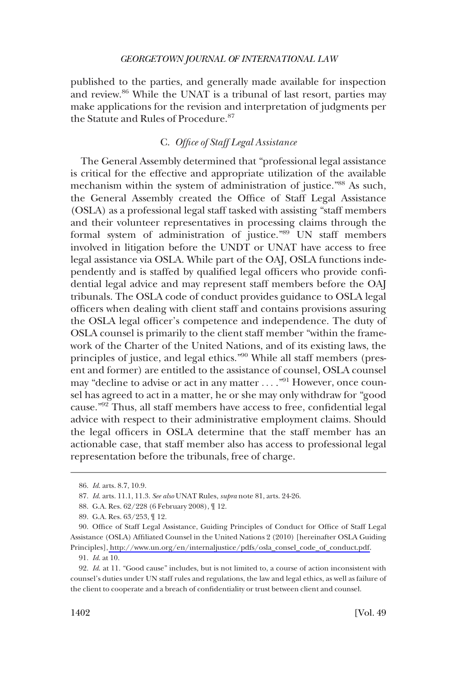<span id="page-19-0"></span>published to the parties, and generally made available for inspection and review.86 While the UNAT is a tribunal of last resort, parties may make applications for the revision and interpretation of judgments per the Statute and Rules of Procedure.<sup>87</sup>

## C. *Office of Staff Legal Assistance*

The General Assembly determined that "professional legal assistance is critical for the effective and appropriate utilization of the available mechanism within the system of administration of justice."88 As such, the General Assembly created the Office of Staff Legal Assistance (OSLA) as a professional legal staff tasked with assisting "staff members and their volunteer representatives in processing claims through the formal system of administration of justice."89 UN staff members involved in litigation before the UNDT or UNAT have access to free legal assistance via OSLA. While part of the OAJ, OSLA functions independently and is staffed by qualified legal officers who provide confidential legal advice and may represent staff members before the OAJ tribunals. The OSLA code of conduct provides guidance to OSLA legal officers when dealing with client staff and contains provisions assuring the OSLA legal officer's competence and independence. The duty of OSLA counsel is primarily to the client staff member "within the framework of the Charter of the United Nations, and of its existing laws, the principles of justice, and legal ethics."<sup>90</sup> While all staff members (present and former) are entitled to the assistance of counsel, OSLA counsel may "decline to advise or act in any matter ...."<sup>91</sup> However, once counsel has agreed to act in a matter, he or she may only withdraw for "good cause."92 Thus, all staff members have access to free, confidential legal advice with respect to their administrative employment claims. Should the legal officers in OSLA determine that the staff member has an actionable case, that staff member also has access to professional legal representation before the tribunals, free of charge.

<sup>86.</sup> *Id*. arts. 8.7, 10.9.

<sup>87.</sup> *Id*. arts. 11.1, 11.3. *See also* UNAT Rules, *supra* note 81, arts. 24-26.

<sup>88.</sup> G.A. Res. 62/228 (6 February 2008), ¶ 12.

<sup>89.</sup> G.A. Res. 63/253, ¶ 12.

<sup>90.</sup> Office of Staff Legal Assistance, Guiding Principles of Conduct for Office of Staff Legal Assistance (OSLA) Affiliated Counsel in the United Nations 2 (2010) [hereinafter OSLA Guiding Principles], [http://www.un.org/en/internaljustice/pdfs/osla\\_consel\\_code\\_of\\_conduct.pdf.](http://www.un.org/en/internaljustice/pdfs/osla_consel_code_of_conduct.pdf)

<sup>91.</sup> *Id*. at 10.

<sup>92.</sup> *Id*. at 11. "Good cause" includes, but is not limited to, a course of action inconsistent with counsel's duties under UN staff rules and regulations, the law and legal ethics, as well as failure of the client to cooperate and a breach of confidentiality or trust between client and counsel.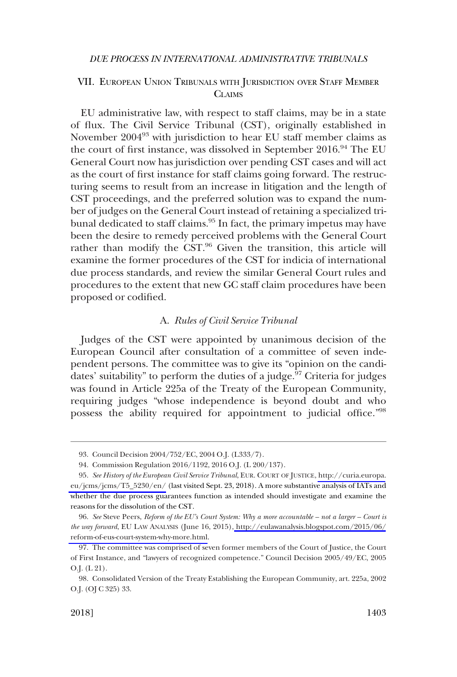## <span id="page-20-0"></span>VII. EUROPEAN UNION TRIBUNALS WITH JURISDICTION OVER STAFF MEMBER **CLAIMS**

EU administrative law, with respect to staff claims, may be in a state of flux. The Civil Service Tribunal (CST), originally established in November 200493 with jurisdiction to hear EU staff member claims as the court of first instance, was dissolved in September 2016.<sup>94</sup> The EU General Court now has jurisdiction over pending CST cases and will act as the court of first instance for staff claims going forward. The restructuring seems to result from an increase in litigation and the length of CST proceedings, and the preferred solution was to expand the number of judges on the General Court instead of retaining a specialized tribunal dedicated to staff claims.<sup>95</sup> In fact, the primary impetus may have been the desire to remedy perceived problems with the General Court rather than modify the CST.<sup>96</sup> Given the transition, this article will examine the former procedures of the CST for indicia of international due process standards, and review the similar General Court rules and procedures to the extent that new GC staff claim procedures have been proposed or codified.

### A. *Rules of Civil Service Tribunal*

Judges of the CST were appointed by unanimous decision of the European Council after consultation of a committee of seven independent persons. The committee was to give its "opinion on the candidates' suitability" to perform the duties of a judge.<sup>97</sup> Criteria for judges was found in Article 225a of the Treaty of the European Community, requiring judges "whose independence is beyond doubt and who possess the ability required for appointment to judicial office."98

<sup>93.</sup> Council Decision 2004/752/EC, 2004 O.J. (L333/7).

<sup>94.</sup> Commission Regulation 2016/1192, 2016 O.J. (L 200/137).

*See History of the European Civil Service Tribunal*, EUR. COURT OF JUSTICE, [http://curia.europa.](http://curia.europa.eu/jcms/jcms/T5_5230/en/) 95. [eu/jcms/jcms/T5\\_5230/en/](http://curia.europa.eu/jcms/jcms/T5_5230/en/) (last visited Sept. 23, 2018). A more substantive analysis of IATs and whether the due process guarantees function as intended should investigate and examine the reasons for the dissolution of the CST.

*See* Steve Peers, *Reform of the EU's Court System: Why a more accountable – not a larger – Court is*  96. *the way forward*, EU LAW ANALYSIS (June 16, 2015), [http://eulawanalysis.blogspot.com/2015/06/](http://eulawanalysis.blogspot.com/2015/06/reform-of-eus-court-system-why-more.html) [reform-of-eus-court-system-why-more.html.](http://eulawanalysis.blogspot.com/2015/06/reform-of-eus-court-system-why-more.html)

<sup>97.</sup> The committee was comprised of seven former members of the Court of Justice, the Court of First Instance, and "lawyers of recognized competence." Council Decision 2005/49/EC, 2005 O.J. (L 21).

<sup>98.</sup> Consolidated Version of the Treaty Establishing the European Community, art. 225a, 2002 O.J. (OJ C 325) 33.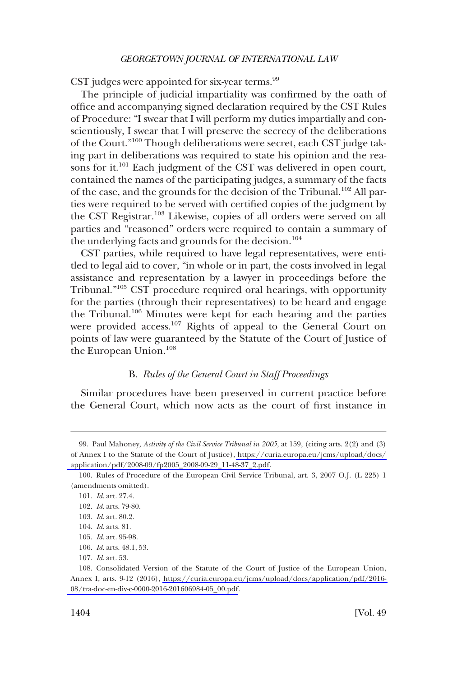<span id="page-21-0"></span>CST judges were appointed for six-year terms. $99$ 

The principle of judicial impartiality was confirmed by the oath of office and accompanying signed declaration required by the CST Rules of Procedure: "I swear that I will perform my duties impartially and conscientiously, I swear that I will preserve the secrecy of the deliberations of the Court."100 Though deliberations were secret, each CST judge taking part in deliberations was required to state his opinion and the reasons for it.<sup>101</sup> Each judgment of the CST was delivered in open court, contained the names of the participating judges, a summary of the facts of the case, and the grounds for the decision of the Tribunal.<sup>102</sup> All parties were required to be served with certified copies of the judgment by the CST Registrar.103 Likewise, copies of all orders were served on all parties and "reasoned" orders were required to contain a summary of the underlying facts and grounds for the decision.<sup>104</sup>

CST parties, while required to have legal representatives, were entitled to legal aid to cover, "in whole or in part, the costs involved in legal assistance and representation by a lawyer in proceedings before the Tribunal."105 CST procedure required oral hearings, with opportunity for the parties (through their representatives) to be heard and engage the Tribunal.<sup>106</sup> Minutes were kept for each hearing and the parties were provided access.<sup>107</sup> Rights of appeal to the General Court on points of law were guaranteed by the Statute of the Court of Justice of the European Union.<sup>108</sup>

## B. *Rules of the General Court in Staff Proceedings*

Similar procedures have been preserved in current practice before the General Court, which now acts as the court of first instance in

<sup>99.</sup> Paul Mahoney, *Activity of the Civil Service Tribunal in 2005*, at 159, (citing arts. 2(2) and (3) of Annex I to the Statute of the Court of Justice), [https://curia.europa.eu/jcms/upload/docs/](https://curia.europa.eu/jcms/upload/docs/application/pdf/2008-09/fp2005_2008-09-29_11-48-37_2.pdf)  [application/pdf/2008-09/fp2005\\_2008-09-29\\_11-48-37\\_2.pdf.](https://curia.europa.eu/jcms/upload/docs/application/pdf/2008-09/fp2005_2008-09-29_11-48-37_2.pdf)

<sup>100.</sup> Rules of Procedure of the European Civil Service Tribunal, art. 3, 2007 O.J. (L 225) 1 (amendments omitted).

<sup>101.</sup> *Id*. art. 27.4.

<sup>102.</sup> *Id*. arts. 79-80.

<sup>103.</sup> *Id*. art. 80.2.

<sup>104.</sup> *Id*. arts. 81.

<sup>105.</sup> *Id*. art. 95-98.

<sup>106.</sup> *Id*. arts. 48.1, 53.

<sup>107.</sup> *Id*. art. 53.

<sup>108.</sup> Consolidated Version of the Statute of the Court of Justice of the European Union, Annex I, arts. 9-12 (2016), [https://curia.europa.eu/jcms/upload/docs/application/pdf/2016-](https://curia.europa.eu/jcms/upload/docs/application/pdf/2016-08/tra-doc-en-div-c-0000-2016-201606984-05_00.pdf)  [08/tra-doc-en-div-c-0000-2016-201606984-05\\_00.pdf.](https://curia.europa.eu/jcms/upload/docs/application/pdf/2016-08/tra-doc-en-div-c-0000-2016-201606984-05_00.pdf)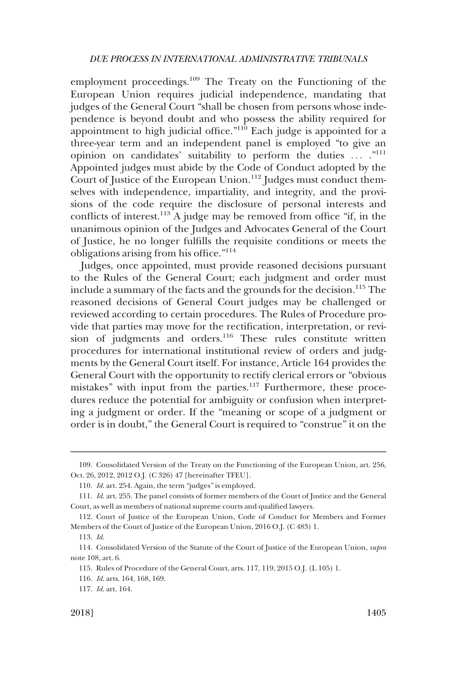employment proceedings.<sup>109</sup> The Treaty on the Functioning of the European Union requires judicial independence, mandating that judges of the General Court "shall be chosen from persons whose independence is beyond doubt and who possess the ability required for appointment to high judicial office. $110$  Each judge is appointed for a three-year term and an independent panel is employed "to give an opinion on candidates' suitability to perform the duties ... ."111 Appointed judges must abide by the Code of Conduct adopted by the Court of Justice of the European Union.<sup>112</sup> Judges must conduct themselves with independence, impartiality, and integrity, and the provisions of the code require the disclosure of personal interests and conflicts of interest.113 A judge may be removed from office "if, in the unanimous opinion of the Judges and Advocates General of the Court of Justice, he no longer fulfills the requisite conditions or meets the obligations arising from his office."114

Judges, once appointed, must provide reasoned decisions pursuant to the Rules of the General Court; each judgment and order must include a summary of the facts and the grounds for the decision.<sup>115</sup> The reasoned decisions of General Court judges may be challenged or reviewed according to certain procedures. The Rules of Procedure provide that parties may move for the rectification, interpretation, or revision of judgments and orders.<sup>116</sup> These rules constitute written procedures for international institutional review of orders and judgments by the General Court itself. For instance, Article 164 provides the General Court with the opportunity to rectify clerical errors or "obvious mistakes" with input from the parties.<sup>117</sup> Furthermore, these procedures reduce the potential for ambiguity or confusion when interpreting a judgment or order. If the "meaning or scope of a judgment or order is in doubt," the General Court is required to "construe" it on the

<sup>109.</sup> Consolidated Version of the Treaty on the Functioning of the European Union, art. 256, Oct. 26, 2012, 2012 O.J. (C 326) 47 [hereinafter TFEU].

<sup>110.</sup> *Id*. art. 254. Again, the term "judges" is employed.

<sup>111.</sup> *Id*. art. 255. The panel consists of former members of the Court of Justice and the General Court, as well as members of national supreme courts and qualified lawyers.

<sup>112.</sup> Court of Justice of the European Union, Code of Conduct for Members and Former Members of the Court of Justice of the European Union, 2016 O.J. (C 483) 1.

<sup>113.</sup> *Id*.

<sup>114.</sup> Consolidated Version of the Statute of the Court of Justice of the European Union, *supra*  note 108, art. 6.

<sup>115.</sup> Rules of Procedure of the General Court, arts. 117, 119, 2015 O.J. (L 105) 1.

<sup>116.</sup> *Id*. arts. 164, 168, 169.

<sup>117.</sup> *Id*. art. 164.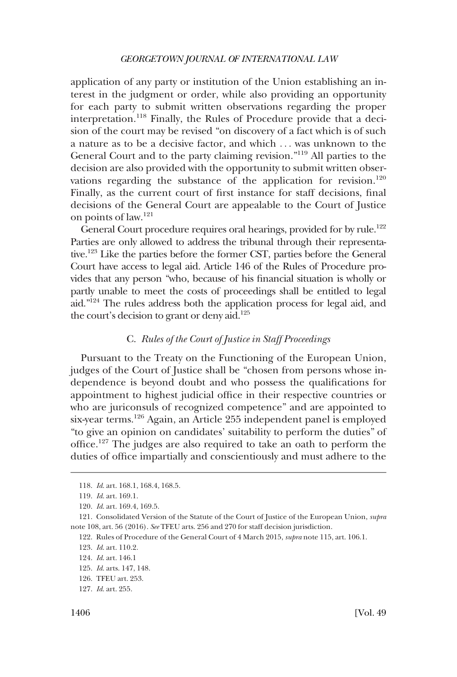<span id="page-23-0"></span>application of any party or institution of the Union establishing an interest in the judgment or order, while also providing an opportunity for each party to submit written observations regarding the proper interpretation.<sup>118</sup> Finally, the Rules of Procedure provide that a decision of the court may be revised "on discovery of a fact which is of such a nature as to be a decisive factor, and which . . . was unknown to the General Court and to the party claiming revision."119 All parties to the decision are also provided with the opportunity to submit written observations regarding the substance of the application for revision.<sup>120</sup> Finally, as the current court of first instance for staff decisions, final decisions of the General Court are appealable to the Court of Justice on points of law.121

General Court procedure requires oral hearings, provided for by rule.<sup>122</sup> Parties are only allowed to address the tribunal through their representative.123 Like the parties before the former CST, parties before the General Court have access to legal aid. Article 146 of the Rules of Procedure provides that any person "who, because of his financial situation is wholly or partly unable to meet the costs of proceedings shall be entitled to legal aid."124 The rules address both the application process for legal aid, and the court's decision to grant or deny aid.<sup>125</sup>

## C. *Rules of the Court of Justice in Staff Proceedings*

Pursuant to the Treaty on the Functioning of the European Union, judges of the Court of Justice shall be "chosen from persons whose independence is beyond doubt and who possess the qualifications for appointment to highest judicial office in their respective countries or who are juriconsuls of recognized competence" and are appointed to six-year terms.126 Again, an Article 255 independent panel is employed "to give an opinion on candidates' suitability to perform the duties" of office.127 The judges are also required to take an oath to perform the duties of office impartially and conscientiously and must adhere to the

<sup>118.</sup> *Id*. art. 168.1, 168.4, 168.5.

<sup>119.</sup> *Id*. art. 169.1.

<sup>120.</sup> *Id*. art. 169.4, 169.5.

<sup>121.</sup> Consolidated Version of the Statute of the Court of Justice of the European Union, *supra*  note 108, art. 56 (2016). *See* TFEU arts. 256 and 270 for staff decision jurisdiction.

<sup>122.</sup> Rules of Procedure of the General Court of 4 March 2015, *supra* note 115, art. 106.1.

<sup>123.</sup> *Id*. art. 110.2.

<sup>124.</sup> *Id*. art. 146.1

<sup>125.</sup> *Id*. arts. 147, 148.

<sup>126.</sup> TFEU art. 253.

<sup>127.</sup> *Id*. art. 255.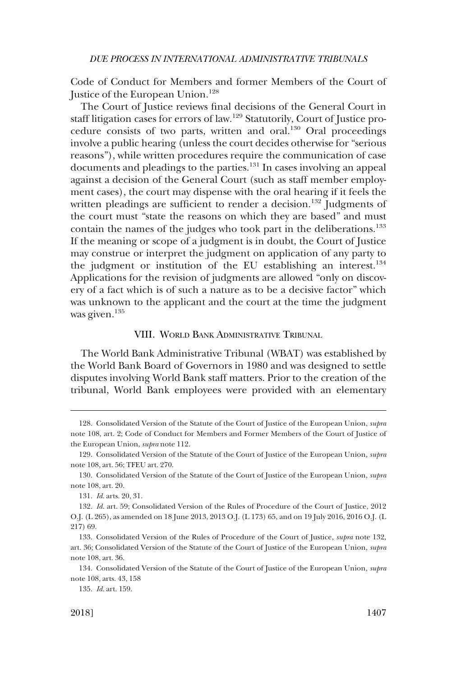<span id="page-24-0"></span>Code of Conduct for Members and former Members of the Court of Justice of the European Union.<sup>128</sup>

The Court of Justice reviews final decisions of the General Court in staff litigation cases for errors of law.129 Statutorily, Court of Justice procedure consists of two parts, written and oral.<sup>130</sup> Oral proceedings involve a public hearing (unless the court decides otherwise for "serious reasons"), while written procedures require the communication of case documents and pleadings to the parties.<sup>131</sup> In cases involving an appeal against a decision of the General Court (such as staff member employment cases), the court may dispense with the oral hearing if it feels the written pleadings are sufficient to render a decision.<sup>132</sup> Judgments of the court must "state the reasons on which they are based" and must contain the names of the judges who took part in the deliberations.<sup>133</sup> If the meaning or scope of a judgment is in doubt, the Court of Justice may construe or interpret the judgment on application of any party to the judgment or institution of the EU establishing an interest.<sup>134</sup> Applications for the revision of judgments are allowed "only on discovery of a fact which is of such a nature as to be a decisive factor" which was unknown to the applicant and the court at the time the judgment was given.<sup>135</sup>

## VIII. WORLD BANK ADMINISTRATIVE TRIBUNAL

The World Bank Administrative Tribunal (WBAT) was established by the World Bank Board of Governors in 1980 and was designed to settle disputes involving World Bank staff matters. Prior to the creation of the tribunal, World Bank employees were provided with an elementary

<sup>128.</sup> Consolidated Version of the Statute of the Court of Justice of the European Union, *supra*  note 108, art. 2; Code of Conduct for Members and Former Members of the Court of Justice of the European Union, *supra* note 112.

<sup>129.</sup> Consolidated Version of the Statute of the Court of Justice of the European Union, *supra*  note 108, art. 56; TFEU art. 270.

<sup>130.</sup> Consolidated Version of the Statute of the Court of Justice of the European Union, *supra*  note 108, art. 20.

<sup>131.</sup> *Id*. arts. 20, 31.

<sup>132.</sup> *Id*. art. 59; Consolidated Version of the Rules of Procedure of the Court of Justice, 2012 O.J. (L 265), as amended on 18 June 2013, 2013 O.J. (L 173) 65, and on 19 July 2016, 2016 O.J. (L 217) 69.

<sup>133.</sup> Consolidated Version of the Rules of Procedure of the Court of Justice, *supra* note 132, art. 36; Consolidated Version of the Statute of the Court of Justice of the European Union, *supra*  note 108, art. 36.

<sup>134.</sup> Consolidated Version of the Statute of the Court of Justice of the European Union*, supra*  note 108, arts. 43, 158

<sup>135.</sup> *Id*. art. 159.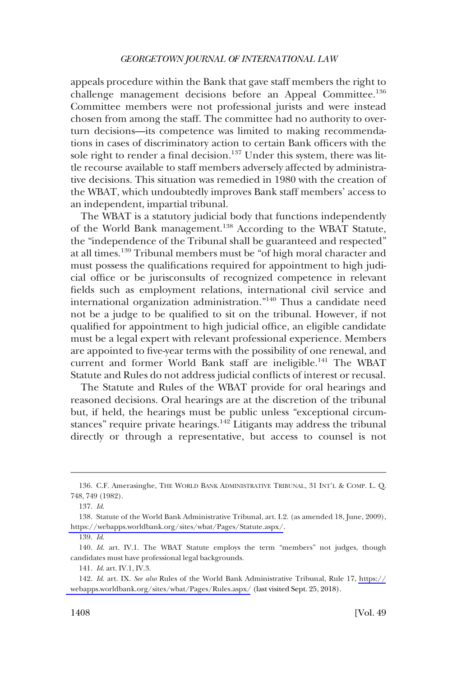appeals procedure within the Bank that gave staff members the right to challenge management decisions before an Appeal Committee.<sup>136</sup> Committee members were not professional jurists and were instead chosen from among the staff. The committee had no authority to overturn decisions—its competence was limited to making recommendations in cases of discriminatory action to certain Bank officers with the sole right to render a final decision.<sup>137</sup> Under this system, there was little recourse available to staff members adversely affected by administrative decisions. This situation was remedied in 1980 with the creation of the WBAT, which undoubtedly improves Bank staff members' access to an independent, impartial tribunal.

The WBAT is a statutory judicial body that functions independently of the World Bank management.<sup>138</sup> According to the WBAT Statute, the "independence of the Tribunal shall be guaranteed and respected" at all times.139 Tribunal members must be "of high moral character and must possess the qualifications required for appointment to high judicial office or be jurisconsults of recognized competence in relevant fields such as employment relations, international civil service and international organization administration."140 Thus a candidate need not be a judge to be qualified to sit on the tribunal. However, if not qualified for appointment to high judicial office, an eligible candidate must be a legal expert with relevant professional experience. Members are appointed to five-year terms with the possibility of one renewal, and current and former World Bank staff are ineligible.<sup>141</sup> The WBAT Statute and Rules do not address judicial conflicts of interest or recusal.

The Statute and Rules of the WBAT provide for oral hearings and reasoned decisions. Oral hearings are at the discretion of the tribunal but, if held, the hearings must be public unless "exceptional circumstances" require private hearings.<sup>142</sup> Litigants may address the tribunal directly or through a representative, but access to counsel is not

<sup>136.</sup> C.F. Amerasinghe, THE WORLD BANK ADMINISTRATIVE TRIBUNAL, 31 INT'L & COMP. L. Q. 748, 749 (1982).

<sup>137.</sup> *Id*.

<sup>138.</sup> Statute of the World Bank Administrative Tribunal, art. I.2. (as amended 18, June, 2009), <https://webapps.worldbank.org/sites/wbat/Pages/Statute.aspx/>.

<sup>139.</sup> *Id*.

<sup>140.</sup> *Id*. art. IV.1. The WBAT Statute employs the term "members" not judges, though candidates must have professional legal backgrounds.

<sup>141.</sup> *Id*. art. IV.1, IV.3.

*Id*. art. IX. *See also* Rules of the World Bank Administrative Tribunal, Rule 17, [https://](https://webapps.worldbank.org/sites/wbat/Pages/Rules.aspx/) 142. [webapps.worldbank.org/sites/wbat/Pages/Rules.aspx/](https://webapps.worldbank.org/sites/wbat/Pages/Rules.aspx/) (last visited Sept. 25, 2018).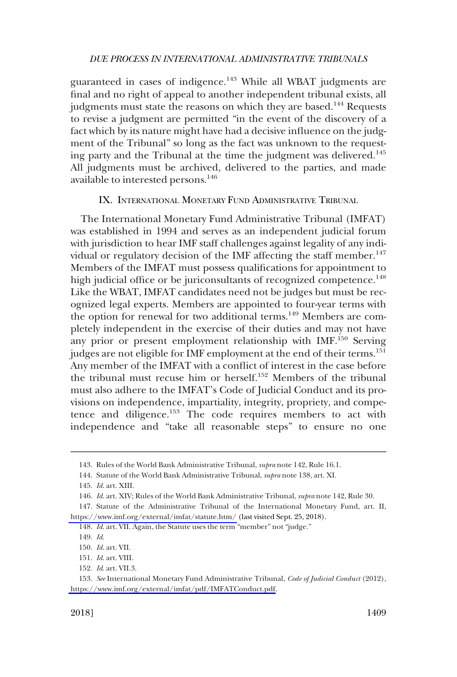<span id="page-26-0"></span>guaranteed in cases of indigence.<sup>143</sup> While all WBAT judgments are final and no right of appeal to another independent tribunal exists, all judgments must state the reasons on which they are based.<sup>144</sup> Requests to revise a judgment are permitted "in the event of the discovery of a fact which by its nature might have had a decisive influence on the judgment of the Tribunal" so long as the fact was unknown to the requesting party and the Tribunal at the time the judgment was delivered.<sup>145</sup> All judgments must be archived, delivered to the parties, and made available to interested persons.146

IX. INTERNATIONAL MONETARY FUND ADMINISTRATIVE TRIBUNAL

The International Monetary Fund Administrative Tribunal (IMFAT) was established in 1994 and serves as an independent judicial forum with jurisdiction to hear IMF staff challenges against legality of any individual or regulatory decision of the IMF affecting the staff member.<sup>147</sup> Members of the IMFAT must possess qualifications for appointment to high judicial office or be juriconsultants of recognized competence.<sup>148</sup> Like the WBAT, IMFAT candidates need not be judges but must be recognized legal experts. Members are appointed to four-year terms with the option for renewal for two additional terms.<sup>149</sup> Members are completely independent in the exercise of their duties and may not have any prior or present employment relationship with IMF.150 Serving judges are not eligible for IMF employment at the end of their terms.<sup>151</sup> Any member of the IMFAT with a conflict of interest in the case before the tribunal must recuse him or herself.152 Members of the tribunal must also adhere to the IMFAT's Code of Judicial Conduct and its provisions on independence, impartiality, integrity, propriety, and competence and diligence.<sup>153</sup> The code requires members to act with independence and "take all reasonable steps" to ensure no one

<sup>143.</sup> Rules of the World Bank Administrative Tribunal, *supra* note 142, Rule 16.1.

<sup>144.</sup> Statute of the World Bank Administrative Tribunal, *supra* note 138, art. XI.

<sup>145.</sup> *Id*. art. XIII.

<sup>146.</sup> *Id*. art. XIV; Rules of the World Bank Administrative Tribunal, *supra* note 142, Rule 30.

<sup>147.</sup> Statute of the Administrative Tribunal of the International Monetary Fund, art. II, <https://www.imf.org/external/imfat/statute.htm/>(last visited Sept. 25, 2018).

<sup>148.</sup> *Id*. art. VII. Again, the Statute uses the term "member" not "judge."

<sup>149.</sup> *Id*.

<sup>150.</sup> *Id*. art. VII.

<sup>151.</sup> *Id*. art. VIII.

<sup>152.</sup> *Id*. art. VII.3.

*See* International Monetary Fund Administrative Tribunal, *Code of Judicial Conduct* (2012), 153. [https://www.imf.org/external/imfat/pdf/IMFATConduct.pdf.](https://www.imf.org/external/imfat/pdf/IMFATConduct.pdf)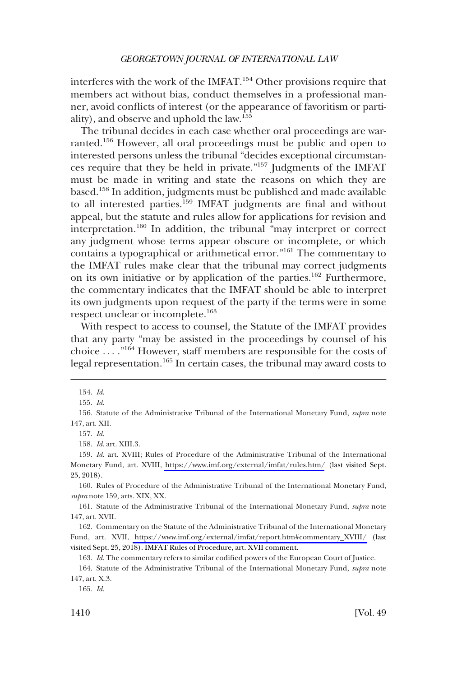interferes with the work of the IMFAT.154 Other provisions require that members act without bias, conduct themselves in a professional manner, avoid conflicts of interest (or the appearance of favoritism or partiality), and observe and uphold the law.155

The tribunal decides in each case whether oral proceedings are warranted.156 However, all oral proceedings must be public and open to interested persons unless the tribunal "decides exceptional circumstances require that they be held in private."157 Judgments of the IMFAT must be made in writing and state the reasons on which they are based.158 In addition, judgments must be published and made available to all interested parties.<sup>159</sup> IMFAT judgments are final and without appeal, but the statute and rules allow for applications for revision and interpretation.160 In addition, the tribunal "may interpret or correct any judgment whose terms appear obscure or incomplete, or which contains a typographical or arithmetical error."161 The commentary to the IMFAT rules make clear that the tribunal may correct judgments on its own initiative or by application of the parties.<sup>162</sup> Furthermore, the commentary indicates that the IMFAT should be able to interpret its own judgments upon request of the party if the terms were in some respect unclear or incomplete.163

With respect to access to counsel, the Statute of the IMFAT provides that any party "may be assisted in the proceedings by counsel of his choice . . . ."164 However, staff members are responsible for the costs of legal representation.<sup>165</sup> In certain cases, the tribunal may award costs to

157. *Id*.

159. Id. art. XVIII; Rules of Procedure of the Administrative Tribunal of the International Monetary Fund, art. XVIII,<https://www.imf.org/external/imfat/rules.htm/> (last visited Sept. 25, 2018).

160. Rules of Procedure of the Administrative Tribunal of the International Monetary Fund, *supra* note 159, arts. XIX, XX.

161. Statute of the Administrative Tribunal of the International Monetary Fund, *supra* note 147, art. XVII.

162. Commentary on the Statute of the Administrative Tribunal of the International Monetary Fund, art. XVII, [https://www.imf.org/external/imfat/report.htm#commentary\\_XVIII/](https://www.imf.org/external/imfat/report.htm#commentary_XVIII/) (last visited Sept. 25, 2018). IMFAT Rules of Procedure, art. XVII comment.

163. *Id*. The commentary refers to similar codified powers of the European Court of Justice.

164. Statute of the Administrative Tribunal of the International Monetary Fund, *supra* note 147, art. X.3.

165. *Id*.

<sup>154.</sup> *Id*.

<sup>155.</sup> *Id*.

<sup>156.</sup> Statute of the Administrative Tribunal of the International Monetary Fund, *supra* note 147, art. XII.

<sup>158.</sup> *Id*. art. XIII.3.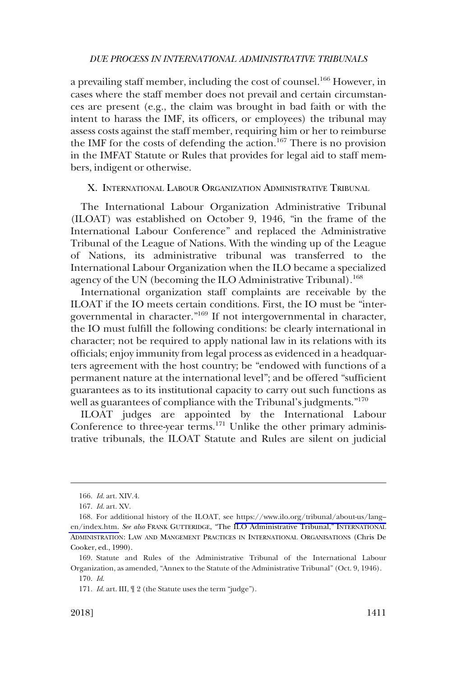<span id="page-28-0"></span>a prevailing staff member, including the cost of counsel.166 However, in cases where the staff member does not prevail and certain circumstances are present (e.g., the claim was brought in bad faith or with the intent to harass the IMF, its officers, or employees) the tribunal may assess costs against the staff member, requiring him or her to reimburse the IMF for the costs of defending the action.<sup>167</sup> There is no provision in the IMFAT Statute or Rules that provides for legal aid to staff members, indigent or otherwise.

## X. INTERNATIONAL LABOUR ORGANIZATION ADMINISTRATIVE TRIBUNAL

The International Labour Organization Administrative Tribunal (ILOAT) was established on October 9, 1946, "in the frame of the International Labour Conference" and replaced the Administrative Tribunal of the League of Nations. With the winding up of the League of Nations, its administrative tribunal was transferred to the International Labour Organization when the ILO became a specialized agency of the UN (becoming the ILO Administrative Tribunal).<sup>168</sup>

International organization staff complaints are receivable by the ILOAT if the IO meets certain conditions. First, the IO must be "intergovernmental in character."169 If not intergovernmental in character, the IO must fulfill the following conditions: be clearly international in character; not be required to apply national law in its relations with its officials; enjoy immunity from legal process as evidenced in a headquarters agreement with the host country; be "endowed with functions of a permanent nature at the international level"; and be offered "sufficient guarantees as to its institutional capacity to carry out such functions as well as guarantees of compliance with the Tribunal's judgments."<sup>170</sup>

ILOAT judges are appointed by the International Labour Conference to three-year terms.<sup>171</sup> Unlike the other primary administrative tribunals, the ILOAT Statute and Rules are silent on judicial

<sup>166.</sup> *Id*. art. XIV.4.

<sup>167.</sup> *Id*. art. XV.

For additional history of the ILOAT, see [https://www.ilo.org/tribunal/about-us/lang–](https://www.ilo.org/tribunal/about-us/lang--en/index.htm)  168. [en/index.htm.](https://www.ilo.org/tribunal/about-us/lang--en/index.htm) *See also* FRANK GUTTERIDGE, "The ILO Administrative Tribunal," INTERNATIONAL ADMINISTRATION: LAW AND MANGEMENT PRACTICES IN INTERNATIONAL ORGANISATIONS (Chris De Cooker, ed., 1990).

<sup>169.</sup> Statute and Rules of the Administrative Tribunal of the International Labour Organization, as amended, "Annex to the Statute of the Administrative Tribunal" (Oct. 9, 1946).

<sup>170.</sup> *Id*.

<sup>171.</sup> *Id*. art. III, ¶ 2 (the Statute uses the term "judge").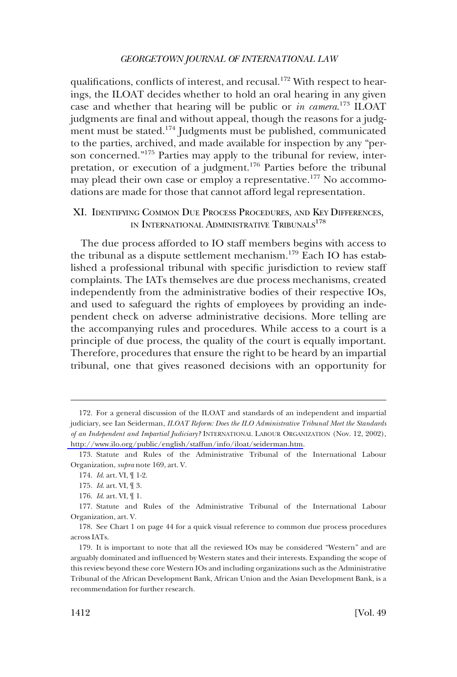<span id="page-29-0"></span>qualifications, conflicts of interest, and recusal.<sup>172</sup> With respect to hearings, the ILOAT decides whether to hold an oral hearing in any given case and whether that hearing will be public or *in camera*. 173 ILOAT judgments are final and without appeal, though the reasons for a judgment must be stated.<sup>174</sup> Judgments must be published, communicated to the parties, archived, and made available for inspection by any "person concerned."175 Parties may apply to the tribunal for review, interpretation, or execution of a judgment.176 Parties before the tribunal may plead their own case or employ a representative.<sup>177</sup> No accommodations are made for those that cannot afford legal representation.

XI. IDENTIFYING COMMON DUE PROCESS PROCEDURES, AND KEY DIFFERENCES, IN INTERNATIONAL ADMINISTRATIVE TRIBUNALS<sup>178</sup>

The due process afforded to IO staff members begins with access to the tribunal as a dispute settlement mechanism.179 Each IO has established a professional tribunal with specific jurisdiction to review staff complaints. The IATs themselves are due process mechanisms, created independently from the administrative bodies of their respective IOs, and used to safeguard the rights of employees by providing an independent check on adverse administrative decisions. More telling are the accompanying rules and procedures. While access to a court is a principle of due process, the quality of the court is equally important. Therefore, procedures that ensure the right to be heard by an impartial tribunal, one that gives reasoned decisions with an opportunity for

<sup>172.</sup> For a general discussion of the ILOAT and standards of an independent and impartial judiciary, see Ian Seiderman, *ILOAT Reform: Does the ILO Administrative Tribunal Meet the Standards of an Independent and Impartial Judiciary?* INTERNATIONAL LABOUR ORGANIZATION (Nov. 12, 2002), [http://www.ilo.org/public/english/staffun/info/iloat/seiderman.htm.](http://www.ilo.org/public/english/staffun/info/iloat/seiderman.htm)

<sup>173.</sup> Statute and Rules of the Administrative Tribunal of the International Labour Organization, *supra* note 169, art. V.

<sup>174.</sup> *Id*. art. VI, ¶ 1-2.

<sup>175.</sup> *Id*. art. VI, ¶ 3.

<sup>176.</sup> *Id*. art. VI, ¶ 1.

<sup>177.</sup> Statute and Rules of the Administrative Tribunal of the International Labour Organization, art. V.

<sup>178.</sup> See Chart 1 on page 44 for a quick visual reference to common due process procedures across IATs.

<sup>179.</sup> It is important to note that all the reviewed IOs may be considered "Western" and are arguably dominated and influenced by Western states and their interests. Expanding the scope of this review beyond these core Western IOs and including organizations such as the Administrative Tribunal of the African Development Bank, African Union and the Asian Development Bank, is a recommendation for further research.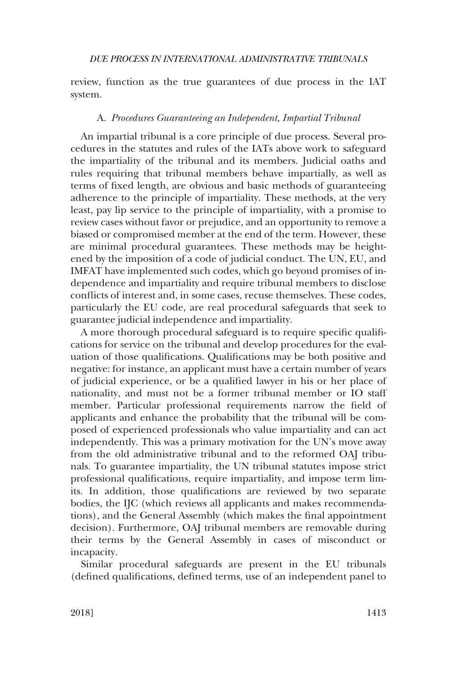<span id="page-30-0"></span>review, function as the true guarantees of due process in the IAT system.

## A. *Procedures Guaranteeing an Independent, Impartial Tribunal*

An impartial tribunal is a core principle of due process. Several procedures in the statutes and rules of the IATs above work to safeguard the impartiality of the tribunal and its members. Judicial oaths and rules requiring that tribunal members behave impartially, as well as terms of fixed length, are obvious and basic methods of guaranteeing adherence to the principle of impartiality. These methods, at the very least, pay lip service to the principle of impartiality, with a promise to review cases without favor or prejudice, and an opportunity to remove a biased or compromised member at the end of the term. However, these are minimal procedural guarantees. These methods may be heightened by the imposition of a code of judicial conduct. The UN, EU, and IMFAT have implemented such codes, which go beyond promises of independence and impartiality and require tribunal members to disclose conflicts of interest and, in some cases, recuse themselves. These codes, particularly the EU code, are real procedural safeguards that seek to guarantee judicial independence and impartiality.

A more thorough procedural safeguard is to require specific qualifications for service on the tribunal and develop procedures for the evaluation of those qualifications. Qualifications may be both positive and negative: for instance, an applicant must have a certain number of years of judicial experience, or be a qualified lawyer in his or her place of nationality, and must not be a former tribunal member or IO staff member. Particular professional requirements narrow the field of applicants and enhance the probability that the tribunal will be composed of experienced professionals who value impartiality and can act independently. This was a primary motivation for the UN's move away from the old administrative tribunal and to the reformed OAJ tribunals. To guarantee impartiality, the UN tribunal statutes impose strict professional qualifications, require impartiality, and impose term limits. In addition, those qualifications are reviewed by two separate bodies, the IJC (which reviews all applicants and makes recommendations), and the General Assembly (which makes the final appointment decision). Furthermore, OAJ tribunal members are removable during their terms by the General Assembly in cases of misconduct or incapacity.

Similar procedural safeguards are present in the EU tribunals (defined qualifications, defined terms, use of an independent panel to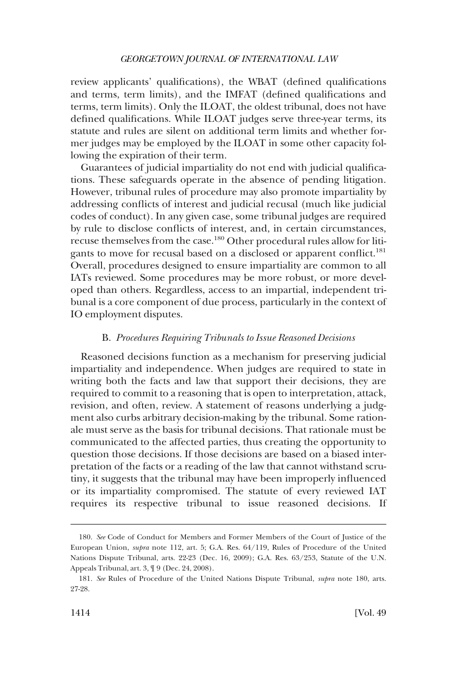<span id="page-31-0"></span>review applicants' qualifications), the WBAT (defined qualifications and terms, term limits), and the IMFAT (defined qualifications and terms, term limits). Only the ILOAT, the oldest tribunal, does not have defined qualifications. While ILOAT judges serve three-year terms, its statute and rules are silent on additional term limits and whether former judges may be employed by the ILOAT in some other capacity following the expiration of their term.

Guarantees of judicial impartiality do not end with judicial qualifications. These safeguards operate in the absence of pending litigation. However, tribunal rules of procedure may also promote impartiality by addressing conflicts of interest and judicial recusal (much like judicial codes of conduct). In any given case, some tribunal judges are required by rule to disclose conflicts of interest, and, in certain circumstances, recuse themselves from the case.180 Other procedural rules allow for litigants to move for recusal based on a disclosed or apparent conflict.<sup>181</sup> Overall, procedures designed to ensure impartiality are common to all IATs reviewed. Some procedures may be more robust, or more developed than others. Regardless, access to an impartial, independent tribunal is a core component of due process, particularly in the context of IO employment disputes.

## B. *Procedures Requiring Tribunals to Issue Reasoned Decisions*

Reasoned decisions function as a mechanism for preserving judicial impartiality and independence. When judges are required to state in writing both the facts and law that support their decisions, they are required to commit to a reasoning that is open to interpretation, attack, revision, and often, review. A statement of reasons underlying a judgment also curbs arbitrary decision-making by the tribunal. Some rationale must serve as the basis for tribunal decisions. That rationale must be communicated to the affected parties, thus creating the opportunity to question those decisions. If those decisions are based on a biased interpretation of the facts or a reading of the law that cannot withstand scrutiny, it suggests that the tribunal may have been improperly influenced or its impartiality compromised. The statute of every reviewed IAT requires its respective tribunal to issue reasoned decisions. If

<sup>180.</sup> *See* Code of Conduct for Members and Former Members of the Court of Justice of the European Union, *supra* note 112, art. 5; G.A. Res. 64/119, Rules of Procedure of the United Nations Dispute Tribunal, arts. 22-23 (Dec. 16, 2009); G.A. Res. 63/253, Statute of the U.N. Appeals Tribunal, art. 3, ¶ 9 (Dec. 24, 2008).

<sup>181.</sup> *See* Rules of Procedure of the United Nations Dispute Tribunal, *supra* note 180, arts. 27-28.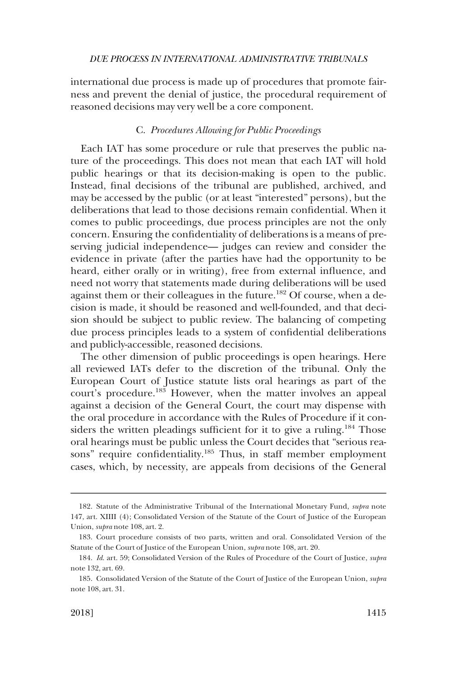<span id="page-32-0"></span>international due process is made up of procedures that promote fairness and prevent the denial of justice, the procedural requirement of reasoned decisions may very well be a core component.

### C. *Procedures Allowing for Public Proceedings*

Each IAT has some procedure or rule that preserves the public nature of the proceedings. This does not mean that each IAT will hold public hearings or that its decision-making is open to the public. Instead, final decisions of the tribunal are published, archived, and may be accessed by the public (or at least "interested" persons), but the deliberations that lead to those decisions remain confidential. When it comes to public proceedings, due process principles are not the only concern. Ensuring the confidentiality of deliberations is a means of preserving judicial independence— judges can review and consider the evidence in private (after the parties have had the opportunity to be heard, either orally or in writing), free from external influence, and need not worry that statements made during deliberations will be used against them or their colleagues in the future.<sup>182</sup> Of course, when a decision is made, it should be reasoned and well-founded, and that decision should be subject to public review. The balancing of competing due process principles leads to a system of confidential deliberations and publicly-accessible, reasoned decisions.

The other dimension of public proceedings is open hearings. Here all reviewed IATs defer to the discretion of the tribunal. Only the European Court of Justice statute lists oral hearings as part of the court's procedure.<sup>183</sup> However, when the matter involves an appeal against a decision of the General Court, the court may dispense with the oral procedure in accordance with the Rules of Procedure if it considers the written pleadings sufficient for it to give a ruling.<sup>184</sup> Those oral hearings must be public unless the Court decides that "serious reasons" require confidentiality.<sup>185</sup> Thus, in staff member employment cases, which, by necessity, are appeals from decisions of the General

<sup>182.</sup> Statute of the Administrative Tribunal of the International Monetary Fund, *supra* note 147, art. XIIII (4); Consolidated Version of the Statute of the Court of Justice of the European Union, *supra* note 108, art. 2.

<sup>183.</sup> Court procedure consists of two parts, written and oral. Consolidated Version of the Statute of the Court of Justice of the European Union, *supra* note 108, art. 20.

<sup>184.</sup> *Id*. art. 59; Consolidated Version of the Rules of Procedure of the Court of Justice, *supra*  note 132, art. 69.

<sup>185.</sup> Consolidated Version of the Statute of the Court of Justice of the European Union, *supra*  note 108, art. 31.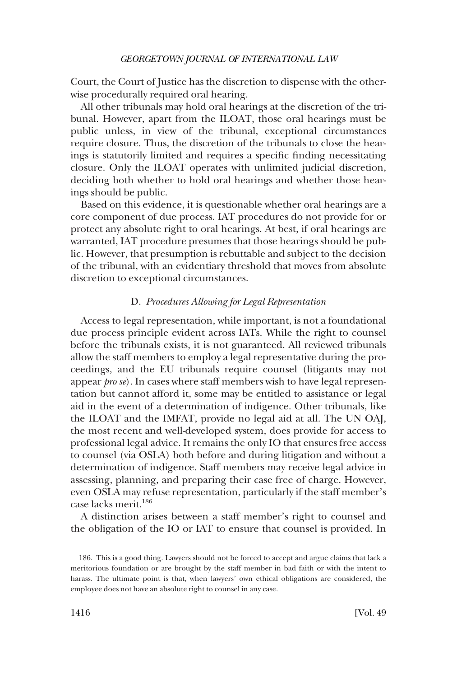<span id="page-33-0"></span>Court, the Court of Justice has the discretion to dispense with the otherwise procedurally required oral hearing.

All other tribunals may hold oral hearings at the discretion of the tribunal. However, apart from the ILOAT, those oral hearings must be public unless, in view of the tribunal, exceptional circumstances require closure. Thus, the discretion of the tribunals to close the hearings is statutorily limited and requires a specific finding necessitating closure. Only the ILOAT operates with unlimited judicial discretion, deciding both whether to hold oral hearings and whether those hearings should be public.

Based on this evidence, it is questionable whether oral hearings are a core component of due process. IAT procedures do not provide for or protect any absolute right to oral hearings. At best, if oral hearings are warranted, IAT procedure presumes that those hearings should be public. However, that presumption is rebuttable and subject to the decision of the tribunal, with an evidentiary threshold that moves from absolute discretion to exceptional circumstances.

## D. *Procedures Allowing for Legal Representation*

Access to legal representation, while important, is not a foundational due process principle evident across IATs. While the right to counsel before the tribunals exists, it is not guaranteed. All reviewed tribunals allow the staff members to employ a legal representative during the proceedings, and the EU tribunals require counsel (litigants may not appear *pro se*). In cases where staff members wish to have legal representation but cannot afford it, some may be entitled to assistance or legal aid in the event of a determination of indigence. Other tribunals, like the ILOAT and the IMFAT, provide no legal aid at all. The UN OAJ, the most recent and well-developed system, does provide for access to professional legal advice. It remains the only IO that ensures free access to counsel (via OSLA) both before and during litigation and without a determination of indigence. Staff members may receive legal advice in assessing, planning, and preparing their case free of charge. However, even OSLA may refuse representation, particularly if the staff member's case lacks merit.186

A distinction arises between a staff member's right to counsel and the obligation of the IO or IAT to ensure that counsel is provided. In

<sup>186.</sup> This is a good thing. Lawyers should not be forced to accept and argue claims that lack a meritorious foundation or are brought by the staff member in bad faith or with the intent to harass. The ultimate point is that, when lawyers' own ethical obligations are considered, the employee does not have an absolute right to counsel in any case.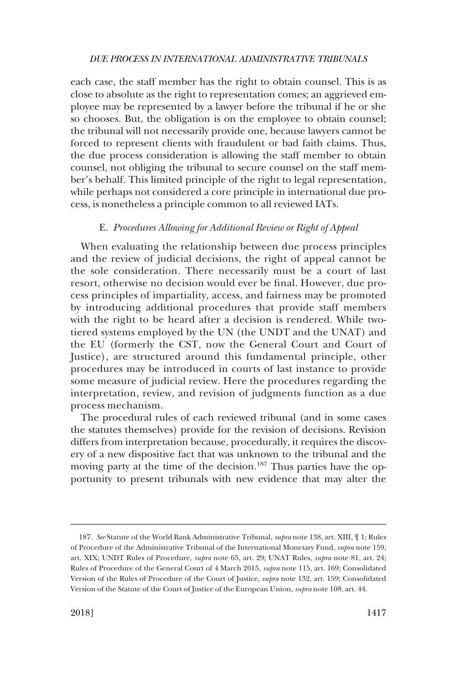<span id="page-34-0"></span>each case, the staff member has the right to obtain counsel. This is as close to absolute as the right to representation comes; an aggrieved employee may be represented by a lawyer before the tribunal if he or she so chooses. But, the obligation is on the employee to obtain counsel; the tribunal will not necessarily provide one, because lawyers cannot be forced to represent clients with fraudulent or bad faith claims. Thus, the due process consideration is allowing the staff member to obtain counsel, not obliging the tribunal to secure counsel on the staff member's behalf. This limited principle of the right to legal representation, while perhaps not considered a core principle in international due process, is nonetheless a principle common to all reviewed IATs.

## E. *Procedures Allowing for Additional Review or Right of Appeal*

When evaluating the relationship between due process principles and the review of judicial decisions, the right of appeal cannot be the sole consideration. There necessarily must be a court of last resort, otherwise no decision would ever be final. However, due process principles of impartiality, access, and fairness may be promoted by introducing additional procedures that provide staff members with the right to be heard after a decision is rendered. While twotiered systems employed by the UN (the UNDT and the UNAT) and the EU (formerly the CST, now the General Court and Court of Justice), are structured around this fundamental principle, other procedures may be introduced in courts of last instance to provide some measure of judicial review. Here the procedures regarding the interpretation, review, and revision of judgments function as a due process mechanism.

The procedural rules of each reviewed tribunal (and in some cases the statutes themselves) provide for the revision of decisions. Revision differs from interpretation because, procedurally, it requires the discovery of a new dispositive fact that was unknown to the tribunal and the moving party at the time of the decision.<sup>187</sup> Thus parties have the opportunity to present tribunals with new evidence that may alter the

<sup>187.</sup> *See* Statute of the World Bank Administrative Tribunal, *supra* note 138, art. XIII, ¶ 1; Rules of Procedure of the Administrative Tribunal of the International Monetary Fund, *supra* note 159, art. XIX; UNDT Rules of Procedure, *supra* note 65, art. 29; UNAT Rules, *supra* note 81, art. 24; Rules of Procedure of the General Court of 4 March 2015, *supra* note 115, art. 169; Consolidated Version of the Rules of Procedure of the Court of Justice, *supra* note 132, art. 159; Consolidated Version of the Statute of the Court of Justice of the European Union*, supra* note 108, art. 44.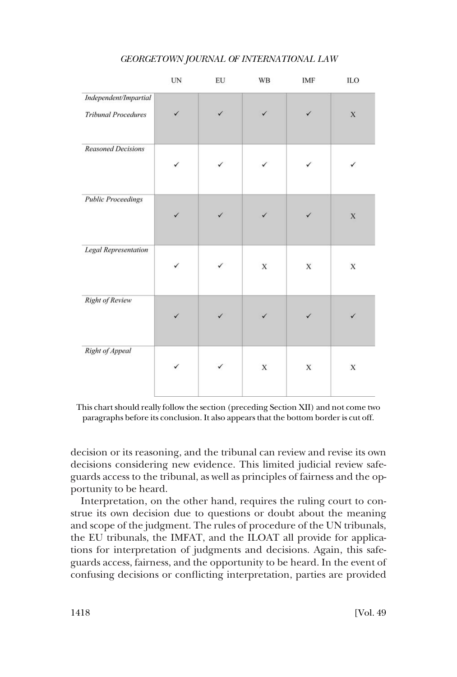|                                                     | UN           | EU | WB           | IMF          | ILO         |
|-----------------------------------------------------|--------------|----|--------------|--------------|-------------|
| Independent/Impartial<br><b>Tribunal Procedures</b> | $\checkmark$ | ✓  | $\checkmark$ | $\checkmark$ | $\mathbf X$ |
| <b>Reasoned Decisions</b>                           | $\checkmark$ | ✓  | ✓            |              | ✓           |
| <b>Public Proceedings</b>                           | $\checkmark$ | ✓  | $\checkmark$ |              | $\mathbf X$ |
| <b>Legal Representation</b>                         | $\checkmark$ |    | $\mathbf X$  | $\mathbf X$  | $\mathbf X$ |
| <b>Right of Review</b>                              | $\checkmark$ | ✓  | $\checkmark$ |              | ✓           |
| Right of Appeal                                     | ✓            | ✓  | $\mathbf X$  | X            | $\mathbf X$ |

This chart should really follow the section (preceding Section XII) and not come two paragraphs before its conclusion. It also appears that the bottom border is cut off.

decision or its reasoning, and the tribunal can review and revise its own decisions considering new evidence. This limited judicial review safeguards access to the tribunal, as well as principles of fairness and the opportunity to be heard.

Interpretation, on the other hand, requires the ruling court to construe its own decision due to questions or doubt about the meaning and scope of the judgment. The rules of procedure of the UN tribunals, the EU tribunals, the IMFAT, and the ILOAT all provide for applications for interpretation of judgments and decisions. Again, this safeguards access, fairness, and the opportunity to be heard. In the event of confusing decisions or conflicting interpretation, parties are provided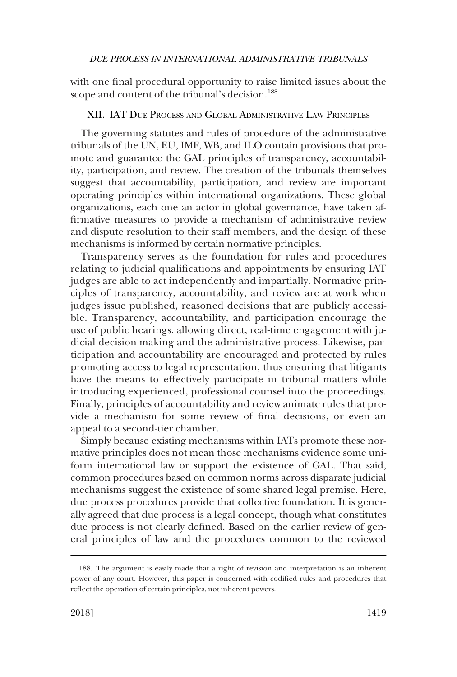<span id="page-36-0"></span>with one final procedural opportunity to raise limited issues about the scope and content of the tribunal's decision.<sup>188</sup>

## XII. IAT DUE PROCESS AND GLOBAL ADMINISTRATIVE LAW PRINCIPLES

The governing statutes and rules of procedure of the administrative tribunals of the UN, EU, IMF, WB, and ILO contain provisions that promote and guarantee the GAL principles of transparency, accountability, participation, and review. The creation of the tribunals themselves suggest that accountability, participation, and review are important operating principles within international organizations. These global organizations, each one an actor in global governance, have taken affirmative measures to provide a mechanism of administrative review and dispute resolution to their staff members, and the design of these mechanisms is informed by certain normative principles.

Transparency serves as the foundation for rules and procedures relating to judicial qualifications and appointments by ensuring IAT judges are able to act independently and impartially. Normative principles of transparency, accountability, and review are at work when judges issue published, reasoned decisions that are publicly accessible. Transparency, accountability, and participation encourage the use of public hearings, allowing direct, real-time engagement with judicial decision-making and the administrative process. Likewise, participation and accountability are encouraged and protected by rules promoting access to legal representation, thus ensuring that litigants have the means to effectively participate in tribunal matters while introducing experienced, professional counsel into the proceedings. Finally, principles of accountability and review animate rules that provide a mechanism for some review of final decisions, or even an appeal to a second-tier chamber.

Simply because existing mechanisms within IATs promote these normative principles does not mean those mechanisms evidence some uniform international law or support the existence of GAL. That said, common procedures based on common norms across disparate judicial mechanisms suggest the existence of some shared legal premise. Here, due process procedures provide that collective foundation. It is generally agreed that due process is a legal concept, though what constitutes due process is not clearly defined. Based on the earlier review of general principles of law and the procedures common to the reviewed

<sup>188.</sup> The argument is easily made that a right of revision and interpretation is an inherent power of any court. However, this paper is concerned with codified rules and procedures that reflect the operation of certain principles, not inherent powers.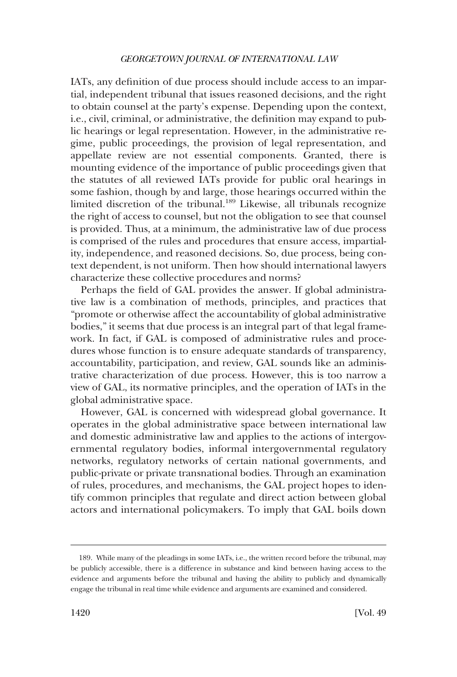IATs, any definition of due process should include access to an impartial, independent tribunal that issues reasoned decisions, and the right to obtain counsel at the party's expense. Depending upon the context, i.e., civil, criminal, or administrative, the definition may expand to public hearings or legal representation. However, in the administrative regime, public proceedings, the provision of legal representation, and appellate review are not essential components. Granted, there is mounting evidence of the importance of public proceedings given that the statutes of all reviewed IATs provide for public oral hearings in some fashion, though by and large, those hearings occurred within the limited discretion of the tribunal.<sup>189</sup> Likewise, all tribunals recognize the right of access to counsel, but not the obligation to see that counsel is provided. Thus, at a minimum, the administrative law of due process is comprised of the rules and procedures that ensure access, impartiality, independence, and reasoned decisions. So, due process, being context dependent, is not uniform. Then how should international lawyers characterize these collective procedures and norms?

Perhaps the field of GAL provides the answer. If global administrative law is a combination of methods, principles, and practices that "promote or otherwise affect the accountability of global administrative bodies," it seems that due process is an integral part of that legal framework. In fact, if GAL is composed of administrative rules and procedures whose function is to ensure adequate standards of transparency, accountability, participation, and review, GAL sounds like an administrative characterization of due process. However, this is too narrow a view of GAL, its normative principles, and the operation of IATs in the global administrative space.

However, GAL is concerned with widespread global governance. It operates in the global administrative space between international law and domestic administrative law and applies to the actions of intergovernmental regulatory bodies, informal intergovernmental regulatory networks, regulatory networks of certain national governments, and public-private or private transnational bodies. Through an examination of rules, procedures, and mechanisms, the GAL project hopes to identify common principles that regulate and direct action between global actors and international policymakers. To imply that GAL boils down

<sup>189.</sup> While many of the pleadings in some IATs, i.e., the written record before the tribunal, may be publicly accessible, there is a difference in substance and kind between having access to the evidence and arguments before the tribunal and having the ability to publicly and dynamically engage the tribunal in real time while evidence and arguments are examined and considered.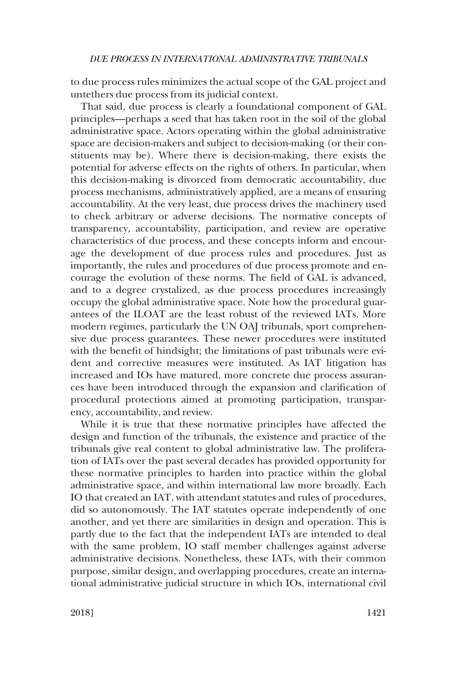to due process rules minimizes the actual scope of the GAL project and untethers due process from its judicial context.

That said, due process is clearly a foundational component of GAL principles—perhaps a seed that has taken root in the soil of the global administrative space. Actors operating within the global administrative space are decision-makers and subject to decision-making (or their constituents may be). Where there is decision-making, there exists the potential for adverse effects on the rights of others. In particular, when this decision-making is divorced from democratic accountability, due process mechanisms, administratively applied, are a means of ensuring accountability. At the very least, due process drives the machinery used to check arbitrary or adverse decisions. The normative concepts of transparency, accountability, participation, and review are operative characteristics of due process, and these concepts inform and encourage the development of due process rules and procedures. Just as importantly, the rules and procedures of due process promote and encourage the evolution of these norms. The field of GAL is advanced, and to a degree crystalized, as due process procedures increasingly occupy the global administrative space. Note how the procedural guarantees of the ILOAT are the least robust of the reviewed IATs. More modern regimes, particularly the UN OAJ tribunals, sport comprehensive due process guarantees. These newer procedures were instituted with the benefit of hindsight; the limitations of past tribunals were evident and corrective measures were instituted. As IAT litigation has increased and IOs have matured, more concrete due process assurances have been introduced through the expansion and clarification of procedural protections aimed at promoting participation, transparency, accountability, and review.

While it is true that these normative principles have affected the design and function of the tribunals, the existence and practice of the tribunals give real content to global administrative law. The proliferation of IATs over the past several decades has provided opportunity for these normative principles to harden into practice within the global administrative space, and within international law more broadly. Each IO that created an IAT, with attendant statutes and rules of procedures, did so autonomously. The IAT statutes operate independently of one another, and yet there are similarities in design and operation. This is partly due to the fact that the independent IATs are intended to deal with the same problem, IO staff member challenges against adverse administrative decisions. Nonetheless, these IATs, with their common purpose, similar design, and overlapping procedures, create an international administrative judicial structure in which IOs, international civil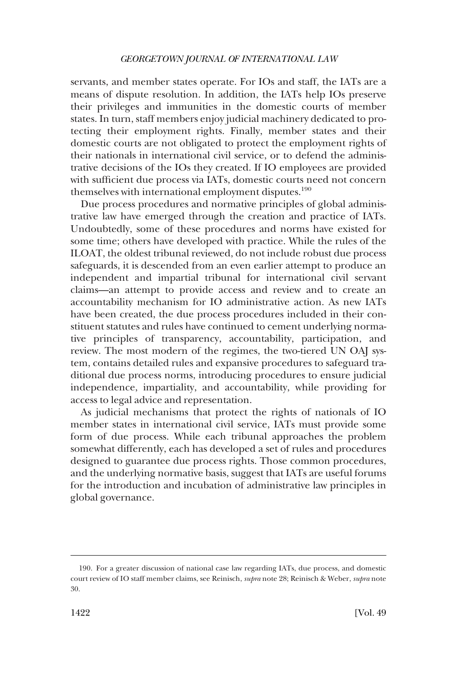servants, and member states operate. For IOs and staff, the IATs are a means of dispute resolution. In addition, the IATs help IOs preserve their privileges and immunities in the domestic courts of member states. In turn, staff members enjoy judicial machinery dedicated to protecting their employment rights. Finally, member states and their domestic courts are not obligated to protect the employment rights of their nationals in international civil service, or to defend the administrative decisions of the IOs they created. If IO employees are provided with sufficient due process via IATs, domestic courts need not concern themselves with international employment disputes.<sup>190</sup>

Due process procedures and normative principles of global administrative law have emerged through the creation and practice of IATs. Undoubtedly, some of these procedures and norms have existed for some time; others have developed with practice. While the rules of the ILOAT, the oldest tribunal reviewed, do not include robust due process safeguards, it is descended from an even earlier attempt to produce an independent and impartial tribunal for international civil servant claims—an attempt to provide access and review and to create an accountability mechanism for IO administrative action. As new IATs have been created, the due process procedures included in their constituent statutes and rules have continued to cement underlying normative principles of transparency, accountability, participation, and review. The most modern of the regimes, the two-tiered UN OAJ system, contains detailed rules and expansive procedures to safeguard traditional due process norms, introducing procedures to ensure judicial independence, impartiality, and accountability, while providing for access to legal advice and representation.

As judicial mechanisms that protect the rights of nationals of IO member states in international civil service, IATs must provide some form of due process. While each tribunal approaches the problem somewhat differently, each has developed a set of rules and procedures designed to guarantee due process rights. Those common procedures, and the underlying normative basis, suggest that IATs are useful forums for the introduction and incubation of administrative law principles in global governance.

<sup>190.</sup> For a greater discussion of national case law regarding IATs, due process, and domestic court review of IO staff member claims, see Reinisch, *supra* note 28; Reinisch & Weber, *supra* note 30.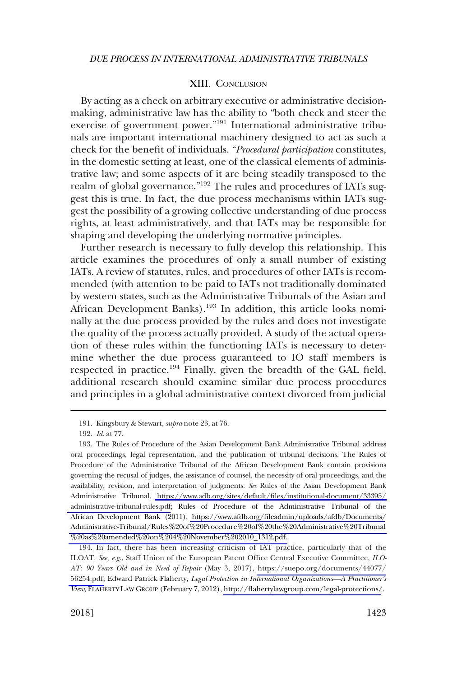### XIII. CONCLUSION

<span id="page-40-0"></span>By acting as a check on arbitrary executive or administrative decisionmaking, administrative law has the ability to "both check and steer the exercise of government power."191 International administrative tribunals are important international machinery designed to act as such a check for the benefit of individuals. "*Procedural participation* constitutes, in the domestic setting at least, one of the classical elements of administrative law; and some aspects of it are being steadily transposed to the realm of global governance."<sup>192</sup> The rules and procedures of IATs suggest this is true. In fact, the due process mechanisms within IATs suggest the possibility of a growing collective understanding of due process rights, at least administratively, and that IATs may be responsible for shaping and developing the underlying normative principles.

Further research is necessary to fully develop this relationship. This article examines the procedures of only a small number of existing IATs. A review of statutes, rules, and procedures of other IATs is recommended (with attention to be paid to IATs not traditionally dominated by western states, such as the Administrative Tribunals of the Asian and African Development Banks).<sup>193</sup> In addition, this article looks nominally at the due process provided by the rules and does not investigate the quality of the process actually provided. A study of the actual operation of these rules within the functioning IATs is necessary to determine whether the due process guaranteed to IO staff members is respected in practice.<sup>194</sup> Finally, given the breadth of the GAL field, additional research should examine similar due process procedures and principles in a global administrative context divorced from judicial

194. In fact, there has been increasing criticism of IAT practice, particularly that of the ILOAT. *See, e.g*., Staff Union of the European Patent Office Central Executive Committee, *ILO-AT: 90 Years Old and in Need of Repair* (May 3, 2017), [https://suepo.org/documents/44077/](https://suepo.org/documents/44077/56254.pdf)  [56254.pdf;](https://suepo.org/documents/44077/56254.pdf) Edward Patrick Flaherty, *Legal Protection in International Organizations—A Practitioner's View*, FLAHERTY LAW GROUP (February 7, 2012), <http://flahertylawgroup.com/legal-protections/>.

<sup>191.</sup> Kingsbury & Stewart, *supra* note 23, at 76.

<sup>192.</sup> *Id*. at 77.

<sup>193.</sup> The Rules of Procedure of the Asian Development Bank Administrative Tribunal address oral proceedings, legal representation, and the publication of tribunal decisions. The Rules of Procedure of the Administrative Tribunal of the African Development Bank contain provisions governing the recusal of judges, the assistance of counsel, the necessity of oral proceedings, and the availability, revision, and interpretation of judgments. *See* Rules of the Asian Development Bank Administrative Tribunal, [https://www.adb.org/sites/default/files/institutional-document/33395/](https://www.adb.org/sites/default/files/institutional-document/33395/administrative-tribunal-rules.pdf)  [administrative-tribunal-rules.pdf](https://www.adb.org/sites/default/files/institutional-document/33395/administrative-tribunal-rules.pdf); Rules of Procedure of the Administrative Tribunal of the African Development Bank (2011), [https://www.afdb.org/fileadmin/uploads/afdb/Documents/](https://www.afdb.org/fileadmin/uploads/afdb/Documents/Administrative-Tribunal/Rules%20of%20Procedure%20of%20the%20Administrative%20Tribunal%20as%20amended%20on%204%20November%202010_1312.pdf) [Administrative-Tribunal/Rules%20of%20Procedure%20of%20the%20Administrative%20Tribunal](https://www.afdb.org/fileadmin/uploads/afdb/Documents/Administrative-Tribunal/Rules%20of%20Procedure%20of%20the%20Administrative%20Tribunal%20as%20amended%20on%204%20November%202010_1312.pdf)  [%20as%20amended%20on%204%20November%202010\\_1312.pdf.](https://www.afdb.org/fileadmin/uploads/afdb/Documents/Administrative-Tribunal/Rules%20of%20Procedure%20of%20the%20Administrative%20Tribunal%20as%20amended%20on%204%20November%202010_1312.pdf)